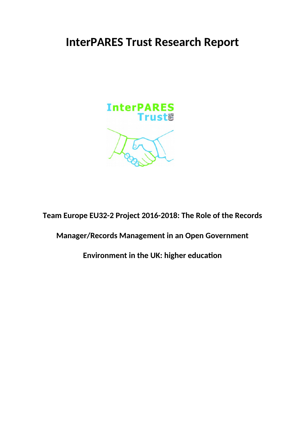# **InterPARES Trust Research Report**



**Team Europe EU32-2 Project 2016-2018: The Role of the Records**

**Manager/Records Management in an Open Government**

**Environment in the UK: higher education**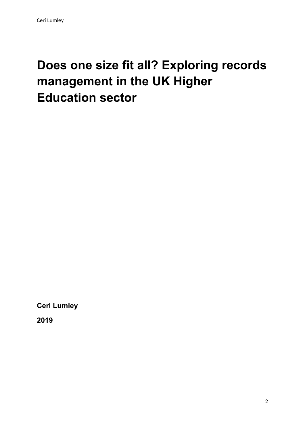# **Does one size fit all? Exploring records management in the UK Higher Education sector**

**Ceri Lumley 2019**

2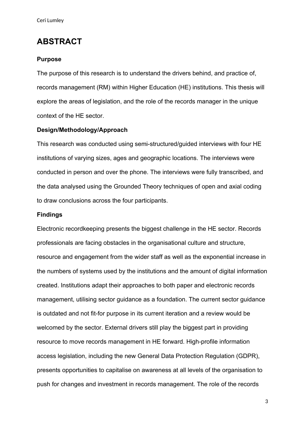# **ABSTRACT**

# **Purpose**

The purpose of this research is to understand the drivers behind, and practice of, records management (RM) within Higher Education (HE) institutions. This thesis will explore the areas of legislation, and the role of the records manager in the unique context of the HE sector.

# **Design/Methodology/Approach**

This research was conducted using semi-structured/guided interviews with four HE institutions of varying sizes, ages and geographic locations. The interviews were conducted in person and over the phone. The interviews were fully transcribed, and the data analysed using the Grounded Theory techniques of open and axial coding to draw conclusions across the four participants.

#### **Findings**

Electronic recordkeeping presents the biggest challenge in the HE sector. Records professionals are facing obstacles in the organisational culture and structure, resource and engagement from the wider staff as well as the exponential increase in the numbers of systems used by the institutions and the amount of digital information created. Institutions adapt their approaches to both paper and electronic records management, utilising sector guidance as a foundation. The current sector guidance is outdated and not fit-for purpose in its current iteration and a review would be welcomed by the sector. External drivers still play the biggest part in providing resource to move records management in HE forward. High-profile information access legislation, including the new General Data Protection Regulation (GDPR), presents opportunities to capitalise on awareness at all levels of the organisation to push for changes and investment in records management. The role of the records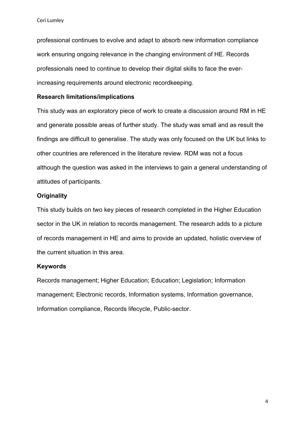professional continues to evolve and adapt to absorb new information compliance work ensuring ongoing relevance in the changing environment of HE. Records professionals need to continue to develop their digital skills to face the everincreasing requirements around electronic recordkeeping.

# **Research limitations/implications**

This study was an exploratory piece of work to create a discussion around RM in HE and generate possible areas of further study. The study was small and as result the findings are difficult to generalise. The study was only focused on the UK but links to other countries are referenced in the literature review. RDM was not a focus although the question was asked in the interviews to gain a general understanding of attitudes of participants.

# **Originality**

This study builds on two key pieces of research completed in the Higher Education sector in the UK in relation to records management. The research adds to a picture of records management in HE and aims to provide an updated, holistic overview of the current situation in this area.

# **Keywords**

Records management; Higher Education; Education; Legislation; Information management; Electronic records, Information systems, Information governance, Information compliance, Records lifecycle, Public-sector.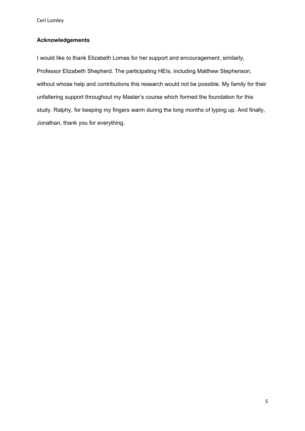# **Acknowledgements**

I would like to thank Elizabeth Lomas for her support and encouragement, similarly, Professor Elizabeth Shepherd. The participating HEIs, including Matthew Stephenson, without whose help and contributions this research would not be possible. My family for their unfaltering support throughout my Master's course which formed the foundation for this study. Ralphy, for keeping my fingers warm during the long months of typing up. And finally, Jonathan, thank you for everything.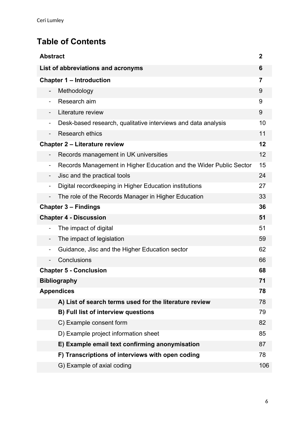# **Table of Contents**

| <b>Abstract</b>                      |                                    |                                                                    | $\mathbf 2$ |
|--------------------------------------|------------------------------------|--------------------------------------------------------------------|-------------|
|                                      | List of abbreviations and acronyms |                                                                    |             |
|                                      | <b>Chapter 1 – Introduction</b>    |                                                                    |             |
|                                      |                                    | Methodology                                                        | 9           |
|                                      | $\overline{\phantom{a}}$           | Research aim                                                       | 9           |
|                                      |                                    | Literature review                                                  | 9           |
|                                      | $\qquad \qquad \blacksquare$       | Desk-based research, qualitative interviews and data analysis      | 10          |
|                                      | $\qquad \qquad \blacksquare$       | <b>Research ethics</b>                                             | 11          |
| <b>Chapter 2 - Literature review</b> |                                    |                                                                    | 12          |
|                                      | $\overline{\phantom{0}}$           | Records management in UK universities                              | 12          |
|                                      | $\blacksquare$                     | Records Management in Higher Education and the Wider Public Sector | 15          |
|                                      | $\overline{\phantom{a}}$           | Jisc and the practical tools                                       | 24          |
|                                      |                                    | Digital recordkeeping in Higher Education institutions             | 27          |
|                                      |                                    | The role of the Records Manager in Higher Education                | 33          |
|                                      | <b>Chapter 3 – Findings</b>        |                                                                    |             |
| <b>Chapter 4 - Discussion</b>        |                                    |                                                                    | 51          |
|                                      | $\qquad \qquad -$                  | The impact of digital                                              | 51          |
|                                      | $\overline{\phantom{a}}$           | The impact of legislation                                          | 59          |
|                                      | $\blacksquare$                     | Guidance, Jisc and the Higher Education sector                     | 62          |
|                                      |                                    | Conclusions                                                        | 66          |
|                                      | <b>Chapter 5 - Conclusion</b>      |                                                                    |             |
|                                      | <b>Bibliography</b>                |                                                                    |             |
| <b>Appendices</b>                    |                                    | 78                                                                 |             |
|                                      |                                    | A) List of search terms used for the literature review             | 78          |
|                                      |                                    | <b>B) Full list of interview questions</b>                         | 79          |
|                                      |                                    | C) Example consent form                                            | 82          |
|                                      |                                    | D) Example project information sheet                               | 85          |
|                                      |                                    | E) Example email text confirming anonymisation                     | 87          |
|                                      |                                    | F) Transcriptions of interviews with open coding                   | 78          |
|                                      |                                    | G) Example of axial coding                                         | 106         |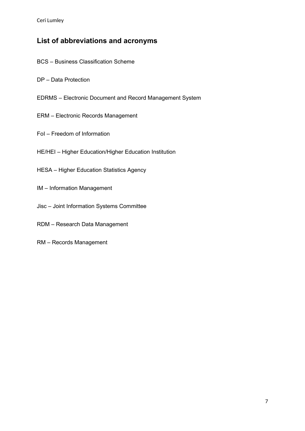# **List of abbreviations and acronyms**

- BCS Business Classification Scheme
- DP Data Protection
- EDRMS Electronic Document and Record Management System
- ERM Electronic Records Management
- FoI Freedom of Information
- HE/HEI Higher Education/Higher Education Institution
- HESA Higher Education Statistics Agency
- IM Information Management
- Jisc Joint Information Systems Committee
- RDM Research Data Management
- RM Records Management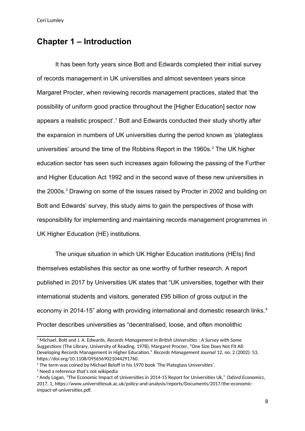# **Chapter 1 – Introduction**

It has been forty years since Bott and Edwards completed their initial survey of records management in UK universities and almost seventeen years since Margaret Procter, when reviewing records management practices, stated that 'the possibility of uniform good practice throughout the [Higher Education] sector now appears a realistic prospect'.<sup>[1](#page-7-0)</sup> Bott and Edwards conducted their study shortly after the expansion in numbers of UK universities during the period known as 'plateglass universities' around the time of the Robbins Report in the 1960s. $2$  The UK higher education sector has seen such increases again following the passing of the Further and Higher Education Act 1992 and in the second wave of these new universities in the 2000s.<sup>[3](#page-7-2)</sup> Drawing on some of the issues raised by Procter in 2002 and building on Bott and Edwards' survey, this study aims to gain the perspectives of those with responsibility for implementing and maintaining records management programmes in UK Higher Education (HE) institutions.

The unique situation in which UK Higher Education institutions (HEIs) find themselves establishes this sector as one worthy of further research. A report published in 2017 by Universities UK states that "UK universities, together with their international students and visitors, generated £95 billion of gross output in the economy in 201[4](#page-7-3)-15" along with providing international and domestic research links.<sup>4</sup> Procter describes universities as "decentralised, loose, and often monolithic

<span id="page-7-0"></span><sup>1</sup> Michael. Bott and J. A. Edwards, *Records Management in British Universities : A Survey with Some Suggestions* (The Library, University of Reading, 1978); Margaret Procter, "One Size Does Not Fit All: Developing Records Management in Higher Education," *Records Management Journal* 12, no. 2 (2002): 53, https://doi.org/10.1108/0956569021044291760.

<span id="page-7-1"></span><sup>2</sup> The term was coined by Michael Beloff in his 1970 book 'The Plateglass Universities'.

<span id="page-7-2"></span> $^{\rm 3}$  Need a reference that's not wikipedia

<span id="page-7-3"></span><sup>4</sup> Andy Logan, "The Economic Impact of Universities in 2014-15 Report for Universities Uk," *Oxford Economics*, 2017, 1, https://www.universitiesuk.ac.uk/policy-and-analysis/reports/Documents/2017/the-economicimpact-of-universities.pdf.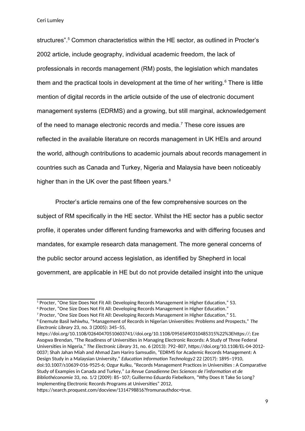structures".<sup>[5](#page-8-0)</sup> Common characteristics within the HE sector, as outlined in Procter's 2002 article, include geography, individual academic freedom, the lack of professionals in records management (RM) posts, the legislation which mandates them and the practical tools in development at the time of her writing.<sup>[6](#page-8-1)</sup> There is little mention of digital records in the article outside of the use of electronic document management systems (EDRMS) and a growing, but still marginal, acknowledgement of the need to manage electronic records and media.<sup>[7](#page-8-2)</sup> These core issues are reflected in the available literature on records management in UK HEIs and around the world, although contributions to academic journals about records management in countries such as Canada and Turkey, Nigeria and Malaysia have been noticeably higher than in the UK over the past fifteen years.<sup>[8](#page-8-3)</sup>

Procter's article remains one of the few comprehensive sources on the subject of RM specifically in the HE sector. Whilst the HE sector has a public sector profile, it operates under different funding frameworks and with differing focuses and mandates, for example research data management. The more general concerns of the public sector around access legislation, as identified by Shepherd in local government, are applicable in HE but do not provide detailed insight into the unique

https://doi.org/10.1108/02640470510603741//doi.org/10.1108/09565690310485315%22%3Ehttps://; Eze Asogwa Brendan, "The Readiness of Universities in Managing Electronic Records: A Study of Three Federal Universities in Nigeria," *The Electronic Library* 31, no. 6 (2013): 792–807, https://doi.org/10.1108/EL-04-2012- 0037; Shah Jahan Miah and Ahmad Zam Hariro Samsudin, "EDRMS for Academic Records Management: A Design Study in a Malaysian University," *Education Information Technology2* 22 (2017): 1895–1910, doi:10.1007/s10639-016-9525-6; Ozgur Kulku, "Records Management Practices in Universities : A Comparative Study of Exampies in Canada and Turkey," *La Revue Canadienne Des Sciences de l'information et de Bibliothéconomie* 33, no. 1/2 (2009): 85–107; Guillermo Eduardo Fiebelkorn, "Why Does It Take So Long? Implementing Electronic Records Programs at Universities" 2012,

<span id="page-8-0"></span><sup>5</sup> Procter, "One Size Does Not Fit All: Developing Records Management in Higher Education," 53.

<span id="page-8-1"></span><sup>6</sup> Procter, "One Size Does Not Fit All: Developing Records Management in Higher Education."

<span id="page-8-2"></span><sup>7</sup> Procter, "One Size Does Not Fit All: Developing Records Management in Higher Education," 51.

<span id="page-8-3"></span><sup>8</sup> Enemute Basil Iwhiwhu, "Management of Records in Nigerian Universities: Problems and Prospects," *The Electronic Library* 23, no. 3 (2005): 345–55,

https://search.proquest.com/docview/1314798816?fromunauthdoc=true.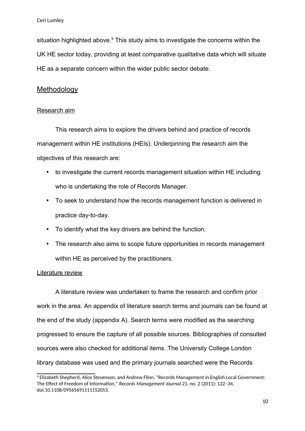situation highlighted above.<sup>[9](#page-9-0)</sup> This study aims to investigate the concerns within the UK HE sector today, providing at least comparative qualitative data which will situate HE as a separate concern within the wider public sector debate.

# Methodology

# Research aim

This research aims to explore the drivers behind and practice of records management within HE institutions (HEIs). Underpinning the research aim the objectives of this research are:

- to investigate the current records management situation within HE including who is undertaking the role of Records Manager.
- To seek to understand how the records management function is delivered in practice day-to-day.
- To identify what the key drivers are behind the function.
- The research also aims to scope future opportunities in records management within HE as perceived by the practitioners.

# Literature review

A literature review was undertaken to frame the research and confirm prior work in the area. An appendix of literature search terms and journals can be found at the end of the study (appendix A). Search terms were modified as the searching progressed to ensure the capture of all possible sources. Bibliographies of consulted sources were also checked for additional items. The University College London library database was used and the primary journals searched were the Records

<span id="page-9-0"></span><sup>9</sup> Elizabeth Shepherd, Alice Stevenson, and Andrew Flinn, "Records Management in English Local Government: The Effect of Freedom of Information," *Records Management Journal* 21, no. 2 (2011): 122–34, doi:10.1108/09565691111152053.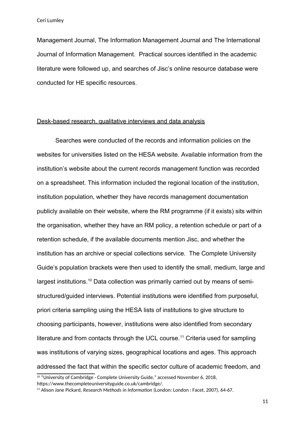Management Journal, The Information Management Journal and The International Journal of Information Management. Practical sources identified in the academic literature were followed up, and searches of Jisc's online resource database were conducted for HE specific resources.

## Desk-based research, qualitative interviews and data analysis

Searches were conducted of the records and information policies on the websites for universities listed on the HESA website. Available information from the institution's website about the current records management function was recorded on a spreadsheet. This information included the regional location of the institution, institution population, whether they have records management documentation publicly available on their website, where the RM programme (if it exists) sits within the organisation, whether they have an RM policy, a retention schedule or part of a retention schedule, if the available documents mention Jisc, and whether the institution has an archive or special collections service. The Complete University Guide's population brackets were then used to identify the small, medium, large and largest institutions.<sup>[10](#page-10-0)</sup> Data collection was primarily carried out by means of semistructured/guided interviews. Potential institutions were identified from purposeful, priori criteria sampling using the HESA lists of institutions to give structure to choosing participants, however, institutions were also identified from secondary literature and from contacts through the UCL course.<sup>[11](#page-10-1)</sup> Criteria used for sampling was institutions of varying sizes, geographical locations and ages. This approach addressed the fact that within the specific sector culture of academic freedom, and

<span id="page-10-0"></span><sup>&</sup>lt;sup>10</sup> "University of Cambridge - Complete University Guide," accessed November 6, 2018, https://www.thecompleteuniversityguide.co.uk/cambridge/.

<span id="page-10-1"></span><sup>11</sup> Alison Jane Pickard, *Research Methods in Information* (London: London : Facet, 2007), 64-67.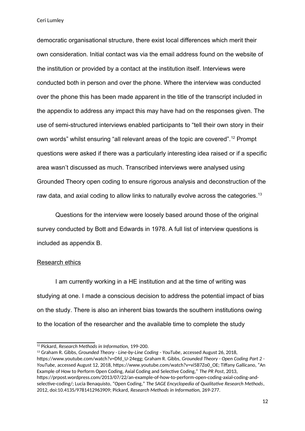democratic organisational structure, there exist local differences which merit their own consideration. Initial contact was via the email address found on the website of the institution or provided by a contact at the institution itself. Interviews were conducted both in person and over the phone. Where the interview was conducted over the phone this has been made apparent in the title of the transcript included in the appendix to address any impact this may have had on the responses given. The use of semi-structured interviews enabled participants to "tell their own story in their own words" whilst ensuring "all relevant areas of the topic are covered".[12](#page-11-0) Prompt questions were asked if there was a particularly interesting idea raised or if a specific area wasn't discussed as much. Transcribed interviews were analysed using Grounded Theory open coding to ensure rigorous analysis and deconstruction of the raw data, and axial coding to allow links to naturally evolve across the categories.<sup>[13](#page-11-1)</sup>

Questions for the interview were loosely based around those of the original survey conducted by Bott and Edwards in 1978. A full list of interview questions is included as appendix B.

#### Research ethics

I am currently working in a HE institution and at the time of writing was studying at one. I made a conscious decision to address the potential impact of bias on the study. There is also an inherent bias towards the southern institutions owing to the location of the researcher and the available time to complete the study

<span id="page-11-0"></span><sup>12</sup> Pickard, *Research Methods in Information,* 199-200.

<span id="page-11-1"></span><sup>13</sup> Graham R. Gibbs, *Grounded Theory - Line-by-Line Coding - YouTube*, accessed August 26, 2018, https://www.youtube.com/watch?v=Dfd\_U-24egg; Graham R. Gibbs, *Grounded Theory - Open Coding Part 2 - YouTube*, accessed August 12, 2018, https://www.youtube.com/watch?v=vi5B7Zo0\_OE; Tiffany Gallicano, "An Example of How to Perform Open Coding, Axial Coding and Selective Coding," *The PR Post*, 2013, https://prpost.wordpress.com/2013/07/22/an-example-of-how-to-perform-open-coding-axial-coding-andselective-coding/; Lucia Benaquisto, "Open Coding," *The SAGE Encyclopedia of Qualitative Research Methods*, 2012, doi:10.4135/9781412963909; Pickard, *Research Methods in Information,* 269-277.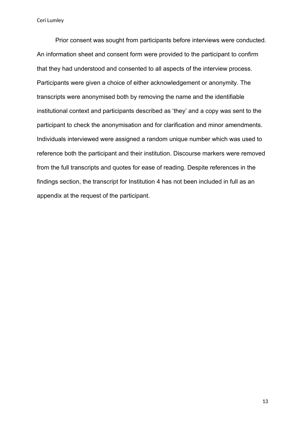Prior consent was sought from participants before interviews were conducted. An information sheet and consent form were provided to the participant to confirm that they had understood and consented to all aspects of the interview process. Participants were given a choice of either acknowledgement or anonymity. The transcripts were anonymised both by removing the name and the identifiable institutional context and participants described as 'they' and a copy was sent to the participant to check the anonymisation and for clarification and minor amendments. Individuals interviewed were assigned a random unique number which was used to reference both the participant and their institution. Discourse markers were removed from the full transcripts and quotes for ease of reading. Despite references in the findings section, the transcript for Institution 4 has not been included in full as an appendix at the request of the participant.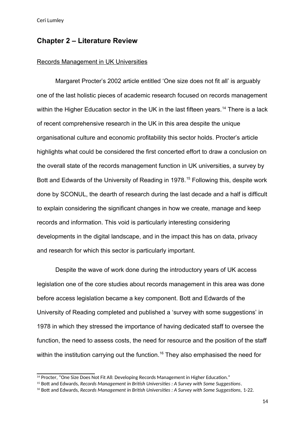# **Chapter 2 – Literature Review**

# Records Management in UK Universities

Margaret Procter's 2002 article entitled 'One size does not fit all' is arguably one of the last holistic pieces of academic research focused on records management within the Higher Education sector in the UK in the last fifteen years.<sup>[14](#page-13-0)</sup> There is a lack of recent comprehensive research in the UK in this area despite the unique organisational culture and economic profitability this sector holds. Procter's article highlights what could be considered the first concerted effort to draw a conclusion on the overall state of the records management function in UK universities, a survey by Bott and Edwards of the University of Reading in 1978.[15](#page-13-1) Following this, despite work done by SCONUL, the dearth of research during the last decade and a half is difficult to explain considering the significant changes in how we create, manage and keep records and information. This void is particularly interesting considering developments in the digital landscape, and in the impact this has on data, privacy and research for which this sector is particularly important.

Despite the wave of work done during the introductory years of UK access legislation one of the core studies about records management in this area was done before access legislation became a key component. Bott and Edwards of the University of Reading completed and published a 'survey with some suggestions' in 1978 in which they stressed the importance of having dedicated staff to oversee the function, the need to assess costs, the need for resource and the position of the staff within the institution carrying out the function.<sup>[16](#page-13-2)</sup> They also emphasised the need for

<span id="page-13-0"></span><sup>&</sup>lt;sup>14</sup> Procter, "One Size Does Not Fit All: Developing Records Management in Higher Education."

<span id="page-13-1"></span><sup>15</sup> Bott and Edwards, *Records Management in British Universities : A Survey with Some Suggestions*.

<span id="page-13-2"></span><sup>&</sup>lt;sup>16</sup> Bott and Edwards, *Records Management in British Universities* : A Survey with Some Suggestions, 1-22.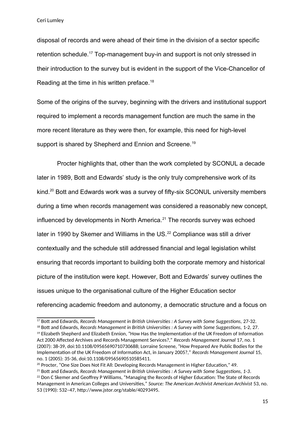disposal of records and were ahead of their time in the division of a sector specific retention schedule.[17](#page-14-0) Top-management buy-in and support is not only stressed in their introduction to the survey but is evident in the support of the Vice-Chancellor of Reading at the time in his written preface.<sup>[18](#page-14-1)</sup>

Some of the origins of the survey, beginning with the drivers and institutional support required to implement a records management function are much the same in the more recent literature as they were then, for example, this need for high-level support is shared by Shepherd and Ennion and Screene.<sup>[19](#page-14-2)</sup>

 Procter highlights that, other than the work completed by SCONUL a decade later in 1989, Bott and Edwards' study is the only truly comprehensive work of its kind.[20](#page-14-3) Bott and Edwards work was a survey of fifty-six SCONUL university members during a time when records management was considered a reasonably new concept, influenced by developments in North America. $21$  The records survey was echoed later in 1990 by Skemer and Williams in the US.<sup>[22](#page-14-5)</sup> Compliance was still a driver contextually and the schedule still addressed financial and legal legislation whilst ensuring that records important to building both the corporate memory and historical picture of the institution were kept. However, Bott and Edwards' survey outlines the issues unique to the organisational culture of the Higher Education sector referencing academic freedom and autonomy, a democratic structure and a focus on

<span id="page-14-0"></span><sup>&</sup>lt;sup>17</sup> Bott and Edwards, *Records Management in British Universities* : A Survey with Some Suggestions, 27-32.

<span id="page-14-2"></span><span id="page-14-1"></span><sup>&</sup>lt;sup>18</sup> Bott and Edwards, *Records Management in British Universities* : A Survey with Some Suggestions, 1-2, 27. <sup>19</sup> Elizabeth Shepherd and Elizabeth Ennion, "How Has the Implementation of the UK Freedom of Information Act 2000 Affected Archives and Records Management Services?," *Records Management Journal* 17, no. 1 (2007): 38-39, doi:10.1108/09565690710730688; Lorraine Screene, "How Prepared Are Public Bodies for the Implementation of the UK Freedom of Information Act, in January 2005?," *Records Management Journal* 15, no. 1 (2005): 35-36, doi:10.1108/09565690510585411.

<span id="page-14-3"></span><sup>&</sup>lt;sup>20</sup> Procter, "One Size Does Not Fit All: Developing Records Management in Higher Education," 49.

<span id="page-14-5"></span><span id="page-14-4"></span><sup>21</sup> Bott and Edwards, *Records Management in British Universities : A Survey with Some Suggestions, 1-3*. <sup>22</sup> Don C Skemer and Geoffrey P Williams, "Managing the Records of Higher Education: The State of Records Management in American Colleges and Universities," *Source: The American Archivist American Archivist* 53, no. 53 (1990): 532–47, http://www.jstor.org/stable/40293495.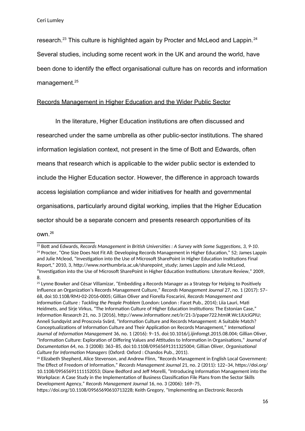research.<sup>[23](#page-15-0)</sup> This culture is highlighted again by Procter and McLeod and Lappin.<sup>[24](#page-15-1)</sup> Several studies, including some recent work in the UK and around the world, have been done to identify the effect organisational culture has on records and information management.[25](#page-15-2)

## Records Management in Higher Education and the Wider Public Sector

In the literature, Higher Education institutions are often discussed and researched under the same umbrella as other public-sector institutions. The shared information legislation context, not present in the time of Bott and Edwards, often means that research which is applicable to the wider public sector is extended to include the Higher Education sector. However, the difference in approach towards access legislation compliance and wider initiatives for health and governmental organisations, particularly around digital working, implies that the Higher Education sector should be a separate concern and presents research opportunities of its

own.[26](#page-15-3)

<span id="page-15-1"></span><span id="page-15-0"></span><sup>23</sup> Bott and Edwards, *Records Management in British Universities : A Survey with Some Suggestions, 3, 9-10*. <sup>24</sup> Procter, "One Size Does Not Fit All: Developing Records Management in Higher Education," 52; James Lappin and Julie Mcleod, "Investigation into the Use of Microsoft SharePoint in Higher Education Institutions Final Report," 2010, 3, http://www.northumbria.ac.uk/sharepoint\_study; James Lappin and Julie McLeod, "Investigation into the Use of Microsoft SharePoint in Higher Education Institutions: Literature Review," 2009, 8.

<span id="page-15-2"></span><sup>25</sup> Lynne Bowker and César Villamizar, "Embedding a Records Manager as a Strategy for Helping to Positively Influence an Organization's Records Management Culture," *Records Management Journal* 27, no. 1 (2017): 57– 68, doi:10.1108/RMJ-02-2016-0005; Gillian Oliver and Fiorella Foscarini, *Records Management and Information Culture : Tackling the People Problem* (London: London : Facet Pub., 2014); Liia Lauri, Mati Heidmets, and Sirje Virkus, "The Information Culture of Higher Education Institutions: The Estonian Case," *Information Research* 21, no. 3 (2016), http://www.informationr.net/ir/21-3/paper722.html#.Wc1JUciGPIU; Anneli Sundqvist and Proscovia Svärd, "Information Culture and Records Management: A Suitable Match? Conceptualizations of Information Culture and Their Application on Records Management," *International Journal of Information Management* 36, no. 1 (2016): 9–15, doi:10.1016/j.ijinfomgt.2015.08.004; Gillian Oliver, "Information Culture: Exploration of Differing Values and Attitudes to Information in Organisations," *Journal of Documentation* 64, no. 3 (2008): 363–85, doi:10.1108/09565691311325004; Gillian Oliver, *Organisational Culture for Information Managers* (Oxford: Oxford : Chandos Pub., 2011).

<span id="page-15-3"></span><sup>&</sup>lt;sup>26</sup> Elizabeth Shepherd, Alice Stevenson, and Andrew Flinn, "Records Management in English Local Government: The Effect of Freedom of Information," *Records Management Journal* 21, no. 2 (2011): 122–34, https://doi.org/ 10.1108/09565691111152053; Diane Bedford and Jeff Morelli, "Introducing Information Management into the Workplace: A Case Study in the Implementation of Business Classification File Plans from the Sector Skills Development Agency," *Records Management Journal* 16, no. 3 (2006): 169–75,

https://doi.org/10.1108/09565690610713228; Keith Gregory, "Implementing an Electronic Records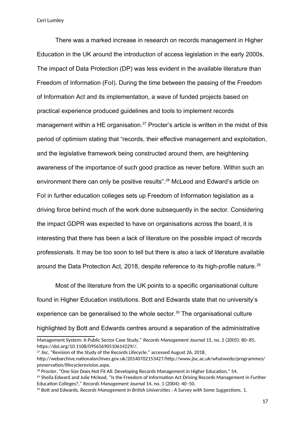There was a marked increase in research on records management in Higher Education in the UK around the introduction of access legislation in the early 2000s. The impact of Data Protection (DP) was less evident in the available literature than Freedom of Information (FoI). During the time between the passing of the Freedom of Information Act and its implementation, a wave of funded projects based on practical experience produced guidelines and tools to implement records management within a HE organisation.<sup>[27](#page-16-0)</sup> Procter's article is written in the midst of this period of optimism stating that "records, their effective management and exploitation, and the legislative framework being constructed around them, are heightening awareness of the importance of such good practice as never before. Within such an environment there can only be positive results".<sup>[28](#page-16-1)</sup> McLeod and Edward's article on FoI in further education colleges sets up Freedom of Information legislation as a driving force behind much of the work done subsequently in the sector. Considering the impact GDPR was expected to have on organisations across the board, it is interesting that there has been a lack of literature on the possible impact of records professionals. It may be too soon to tell but there is also a lack of literature available around the Data Protection Act, 2018, despite reference to its high-profile nature.<sup>[29](#page-16-2)</sup>

Most of the literature from the UK points to a specific organisational culture found in Higher Education institutions. Bott and Edwards state that no university's experience can be generalised to the whole sector.<sup>[30](#page-16-3)</sup> The organisational culture highlighted by Bott and Edwards centres around a separation of the administrative

Management System: A Public Sector Case Study," *Records Management Journal* 15, no. 2 (2005): 80–85, https://doi.org/10.1108/09565690510614229//.

<span id="page-16-0"></span> $27$  Jisc, "Revision of the Study of the Records Lifecycle," accessed August 26, 2018,

http://webarchive.nationalarchives.gov.uk/20140702153427/http://www.jisc.ac.uk/whatwedo/programmes/ preservation/lifecyclerevision.aspx.

<span id="page-16-1"></span><sup>&</sup>lt;sup>28</sup> Procter, "One Size Does Not Fit All: Developing Records Management in Higher Education," 54.

<span id="page-16-2"></span><sup>&</sup>lt;sup>29</sup> Sheila Edward and Julie Mcleod, "Is the Freedom of Information Act Driving Records Management in Further Education Colleges?," *Records Management Journal* 14, no. 1 (2004): 40–50.

<span id="page-16-3"></span><sup>30</sup> Bott and Edwards, *Records Management in British Universities : A Survey with Some Suggestions,* 1.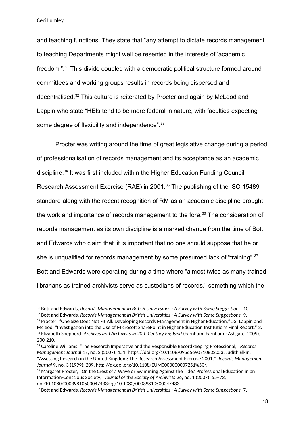and teaching functions. They state that "any attempt to dictate records management to teaching Departments might well be resented in the interests of 'academic freedom'".[31](#page-17-0) This divide coupled with a democratic political structure formed around committees and working groups results in records being dispersed and decentralised.[32](#page-17-1) This culture is reiterated by Procter and again by McLeod and Lappin who state "HEIs tend to be more federal in nature, with faculties expecting some degree of flexibility and independence".<sup>[33](#page-17-2)</sup>

Procter was writing around the time of great legislative change during a period of professionalisation of records management and its acceptance as an academic discipline.[34](#page-17-3) It was first included within the Higher Education Funding Council Research Assessment Exercise (RAE) in 2001.<sup>[35](#page-17-4)</sup> The publishing of the ISO 15489 standard along with the recent recognition of RM as an academic discipline brought the work and importance of records management to the fore.<sup>[36](#page-17-5)</sup> The consideration of records management as its own discipline is a marked change from the time of Bott and Edwards who claim that 'it is important that no one should suppose that he or she is unqualified for records management by some presumed lack of "training".<sup>[37](#page-17-6)</sup> Bott and Edwards were operating during a time where "almost twice as many trained librarians as trained archivists serve as custodians of records," something which the

<span id="page-17-0"></span><sup>31</sup> Bott and Edwards, *Records Management in British Universities : A Survey with Some Suggestions,* 10.

<span id="page-17-1"></span><sup>32</sup> Bott and Edwards, *Records Management in British Universities : A Survey with Some Suggestions,* 9.

<span id="page-17-2"></span><sup>33</sup> Procter, "One Size Does Not Fit All: Developing Records Management in Higher Education," 53; Lappin and Mcleod, "Investigation into the Use of Microsoft SharePoint in Higher Education Institutions Final Report," 3. <sup>34</sup> Elizabeth Shepherd, *Archives and Archivists in 20th Century England* (Farnham: Farnham : Ashgate, 2009), 200-210.

<span id="page-17-4"></span><span id="page-17-3"></span><sup>35</sup> Caroline Williams, "The Research Imperative and the Responsible Recordkeeping Professional," *Records Management Journal* 17, no. 3 (2007): 151, https://doi.org/10.1108/09565690710833053; Judith Elkin, "Assessing Research in the United Kingdom: The Research Assessment Exercise 2001," *Records Management Journal* 9, no. 3 (1999): 209, http://dx.doi.org/10.1108/EUM0000000007251%5Cr.

<span id="page-17-5"></span><sup>&</sup>lt;sup>36</sup> Margaret Procter, "On the Crest of a Wave or Swimming Against the Tide? Professional Education in an Information-Conscious Society," *Journal of the Society of Archivists* 26, no. 1 (2007): 55–73, doi:10.1080/00039810500047433org/10.1080/00039810500047433.

<span id="page-17-6"></span><sup>37</sup> Bott and Edwards, *Records Management in British Universities : A Survey with Some Suggestions,* 7.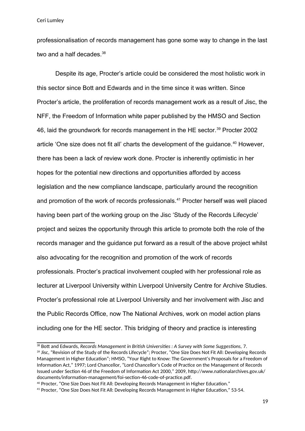professionalisation of records management has gone some way to change in the last two and a half decades. $38$ 

Despite its age, Procter's article could be considered the most holistic work in this sector since Bott and Edwards and in the time since it was written. Since Procter's article, the proliferation of records management work as a result of Jisc, the NFF, the Freedom of Information white paper published by the HMSO and Section 46, laid the groundwork for records management in the HE sector.<sup>[39](#page-18-1)</sup> Procter 2002 article 'One size does not fit all' charts the development of the guidance.<sup>[40](#page-18-2)</sup> However, there has been a lack of review work done. Procter is inherently optimistic in her hopes for the potential new directions and opportunities afforded by access legislation and the new compliance landscape, particularly around the recognition and promotion of the work of records professionals.<sup>[41](#page-18-3)</sup> Procter herself was well placed having been part of the working group on the Jisc 'Study of the Records Lifecycle' project and seizes the opportunity through this article to promote both the role of the records manager and the guidance put forward as a result of the above project whilst also advocating for the recognition and promotion of the work of records professionals. Procter's practical involvement coupled with her professional role as lecturer at Liverpool University within Liverpool University Centre for Archive Studies. Procter's professional role at Liverpool University and her involvement with Jisc and the Public Records Office, now The National Archives, work on model action plans including one for the HE sector. This bridging of theory and practice is interesting

<span id="page-18-1"></span><span id="page-18-0"></span><sup>&</sup>lt;sup>38</sup> Bott and Edwards, *Records Management in British Universities* : A Survey with Some Suggestions, 7. <sup>39</sup> Jisc, "Revision of the Study of the Records Lifecycle"; Procter, "One Size Does Not Fit All: Developing Records Management in Higher Education"; HMSO, "Your Right to Know: The Government's Proposals for a Freedom of Information Act," 1997; Lord Chancellor, "Lord Chancellor's Code of Practice on the Management of Records Issued under Section 46 of the Freedom of Information Act 2000," 2009, http://www.nationalarchives.gov.uk/ documents/information-management/foi-section-46-code-of-practice.pdf.

<span id="page-18-2"></span><sup>40</sup> Procter, "One Size Does Not Fit All: Developing Records Management in Higher Education."

<span id="page-18-3"></span><sup>41</sup> Procter, "One Size Does Not Fit All: Developing Records Management in Higher Education," 53-54.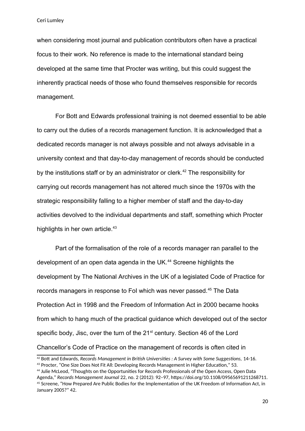when considering most journal and publication contributors often have a practical focus to their work. No reference is made to the international standard being developed at the same time that Procter was writing, but this could suggest the inherently practical needs of those who found themselves responsible for records management.

For Bott and Edwards professional training is not deemed essential to be able to carry out the duties of a records management function. It is acknowledged that a dedicated records manager is not always possible and not always advisable in a university context and that day-to-day management of records should be conducted by the institutions staff or by an administrator or clerk.<sup>[42](#page-19-0)</sup> The responsibility for carrying out records management has not altered much since the 1970s with the strategic responsibility falling to a higher member of staff and the day-to-day activities devolved to the individual departments and staff, something which Procter highlights in her own article.<sup>[43](#page-19-1)</sup>

Part of the formalisation of the role of a records manager ran parallel to the development of an open data agenda in the UK.<sup>[44](#page-19-2)</sup> Screene highlights the development by The National Archives in the UK of a legislated Code of Practice for records managers in response to FoI which was never passed.<sup>[45](#page-19-3)</sup> The Data Protection Act in 1998 and the Freedom of Information Act in 2000 became hooks from which to hang much of the practical guidance which developed out of the sector specific body, Jisc, over the turn of the 21<sup>st</sup> century. Section 46 of the Lord Chancellor's Code of Practice on the management of records is often cited in

<span id="page-19-0"></span><sup>&</sup>lt;sup>42</sup> Bott and Edwards, *Records Management in British Universities* : A Survey with Some Suggestions, 14-16.

<span id="page-19-1"></span><sup>43</sup> Procter, "One Size Does Not Fit All: Developing Records Management in Higher Education," 53.

<span id="page-19-3"></span><span id="page-19-2"></span><sup>44</sup> Julie McLeod, "Thoughts on the Opportunities for Records Professionals of the Open Access, Open Data Agenda," *Records Management Journal* 22, no. 2 (2012): 92–97, https://doi.org/10.1108/09565691211268711. <sup>45</sup> Screene, "How Prepared Are Public Bodies for the Implementation of the UK Freedom of Information Act, in January 2005?" 42.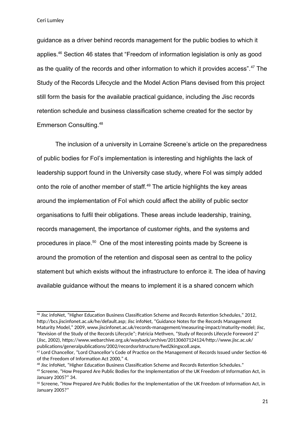guidance as a driver behind records management for the public bodies to which it applies.[46](#page-20-0) Section 46 states that "Freedom of information legislation is only as good as the quality of the records and other information to which it provides access".<sup>[47](#page-20-1)</sup> The Study of the Records Lifecycle and the Model Action Plans devised from this project still form the basis for the available practical guidance, including the Jisc records retention schedule and business classification scheme created for the sector by Emmerson Consulting.[48](#page-20-2)

The inclusion of a university in Lorraine Screene's article on the preparedness of public bodies for FoI's implementation is interesting and highlights the lack of leadership support found in the University case study, where FoI was simply added onto the role of another member of staff.<sup>[49](#page-20-3)</sup> The article highlights the key areas around the implementation of FoI which could affect the ability of public sector organisations to fulfil their obligations. These areas include leadership, training, records management, the importance of customer rights, and the systems and procedures in place.<sup>[50](#page-20-4)</sup> One of the most interesting points made by Screene is around the promotion of the retention and disposal seen as central to the policy statement but which exists without the infrastructure to enforce it. The idea of having available guidance without the means to implement it is a shared concern which

<span id="page-20-0"></span><sup>46</sup> Jisc infoNet, "Higher Education Business Classification Scheme and Records Retention Schedules," 2012, http://bcs.jiscinfonet.ac.uk/he/default.asp; Jisc infoNet, "Guidance Notes for the Records Management Maturity Model," 2009, www.jiscinfonet.ac.uk/records-management/measuring-impact/maturity-model; Jisc, "Revision of the Study of the Records Lifecycle"; Patricia Methven, "Study of Records Lifecycle Foreword 2" (Jisc, 2002), https://www.webarchive.org.uk/wayback/archive/20130607124124/http://www.jisc.ac.uk/ publications/generalpublications/2002/recordssrlstructure/fwd2kingscoll.aspx.

<span id="page-20-1"></span><sup>47</sup> Lord Chancellor, "Lord Chancellor's Code of Practice on the Management of Records Issued under Section 46 of the Freedom of Information Act 2000," 4.

<span id="page-20-2"></span><sup>48</sup> Jisc infoNet, "Higher Education Business Classification Scheme and Records Retention Schedules."

<span id="page-20-3"></span><sup>49</sup> Screene, "How Prepared Are Public Bodies for the Implementation of the UK Freedom of Information Act, in January 2005?" 34.

<span id="page-20-4"></span><sup>50</sup> Screene, "How Prepared Are Public Bodies for the Implementation of the UK Freedom of Information Act, in January 2005?"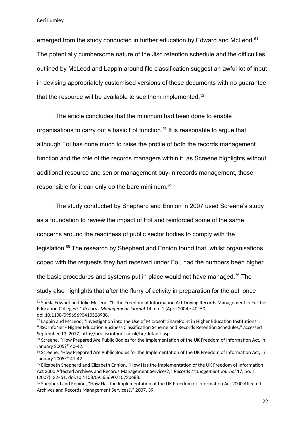emerged from the study conducted in further education by Edward and McLeod.<sup>[51](#page-21-0)</sup> The potentially cumbersome nature of the Jisc retention schedule and the difficulties outlined by McLeod and Lappin around file classification suggest an awful lot of input in devising appropriately customised versions of these documents with no guarantee that the resource will be available to see them implemented.<sup>[52](#page-21-1)</sup>

The article concludes that the minimum had been done to enable organisations to carry out a basic FoI function.<sup>[53](#page-21-2)</sup> It is reasonable to argue that although FoI has done much to raise the profile of both the records management function and the role of the records managers within it, as Screene highlights without additional resource and senior management buy-in records management, those responsible for it can only do the bare minimum.[54](#page-21-3)

The study conducted by Shepherd and Ennion in 2007 used Screene's study as a foundation to review the impact of FoI and reinforced some of the same concerns around the readiness of public sector bodies to comply with the legislation.<sup>[55](#page-21-4)</sup> The research by Shepherd and Ennion found that, whilst organisations coped with the requests they had received under FoI, had the numbers been higher the basic procedures and systems put in place would not have managed.<sup>[56](#page-21-5)</sup> The study also highlights that after the flurry of activity in preparation for the act, once

<span id="page-21-0"></span><sup>51</sup> Sheila Edward and Julie McLeod, "Is the Freedom of Information Act Driving Records Management in Further Education Colleges?," *Records Management Journal* 14, no. 1 (April 2004): 40–50, doi:10.1108/09565690410528938.

<span id="page-21-1"></span><sup>52</sup> Lappin and McLeod, "Investigation into the Use of Microsoft SharePoint in Higher Education Institutions"; "JISC InfoNet - Higher Education Business Classification Scheme and Records Retention Schedules," accessed September 13, 2017, http://bcs.jiscinfonet.ac.uk/he/default.asp.

<span id="page-21-2"></span><sup>53</sup> Screene, "How Prepared Are Public Bodies for the Implementation of the UK Freedom of Information Act, in January 2005?" 40-42.

<span id="page-21-3"></span><sup>54</sup> Screene, "How Prepared Are Public Bodies for the Implementation of the UK Freedom of Information Act, in January 2005?" 41-42.

<span id="page-21-4"></span><sup>55</sup> Elizabeth Shepherd and Elizabeth Ennion, "How Has the Implementation of the UK Freedom of Information Act 2000 Affected Archives and Records Management Services?," *Records Management Journal* 17, no. 1 (2007): 32–51, doi:10.1108/09565690710730688.

<span id="page-21-5"></span><sup>56</sup> Shepherd and Ennion, "How Has the Implementation of the UK Freedom of Information Act 2000 Affected Archives and Records Management Services?," 2007, 39.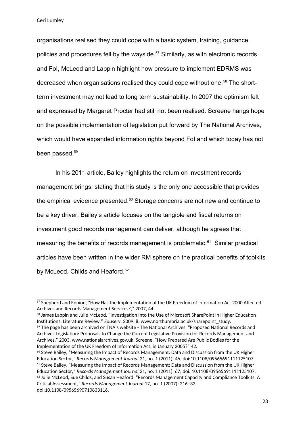organisations realised they could cope with a basic system, training, guidance, policies and procedures fell by the wayside.<sup>[57](#page-22-0)</sup> Similarly, as with electronic records and FoI, McLeod and Lappin highlight how pressure to implement EDRMS was decreased when organisations realised they could cope without one.[58](#page-22-1) The shortterm investment may not lead to long term sustainability. In 2007 the optimism felt and expressed by Margaret Procter had still not been realised. Screene hangs hope on the possible implementation of legislation put forward by The National Archives, which would have expanded information rights beyond FoI and which today has not been passed.<sup>[59](#page-22-2)</sup>

In his 2011 article, Bailey highlights the return on investment records management brings, stating that his study is the only one accessible that provides the empirical evidence presented. $60$  Storage concerns are not new and continue to be a key driver. Bailey's article focuses on the tangible and fiscal returns on investment good records management can deliver, although he agrees that measuring the benefits of records management is problematic.<sup>[61](#page-22-4)</sup> Similar practical articles have been written in the wider RM sphere on the practical benefits of toolkits by McLeod, Childs and Heaford.<sup>[62](#page-22-5)</sup>

<span id="page-22-0"></span><sup>57</sup> Shepherd and Ennion, "How Has the Implementation of the UK Freedom of Information Act 2000 Affected Archives and Records Management Services?," 2007, 44.

<span id="page-22-1"></span><sup>58</sup> James Lappin and Julie McLeod, "Investigation into the Use of Microsoft SharePoint in Higher Education Institutions: Literature Review," *Eduserv*, 2009, 8, www.northumbria.ac.uk/sharepoint\_study.

<span id="page-22-2"></span><sup>&</sup>lt;sup>59</sup> The page has been archived on TNA's website - The National Archives, "Proposed National Records and Archives Legislation: Proposals to Change the Current Legislative Provision for Records Management and Archives," 2003, www.nationalarchives.gov.uk; Screene, "How Prepared Are Public Bodies for the Implementation of the UK Freedom of Information Act, in January 2005?" 42.

<span id="page-22-5"></span><span id="page-22-4"></span><span id="page-22-3"></span><sup>60</sup> Steve Bailey, "Measuring the Impact of Records Management: Data and Discussion from the UK Higher Education Sector," *Records Management Journal* 21, no. 1 (2011): 46, doi:10.1108/09565691111125107.  $61$  Steve Bailey, "Measuring the Impact of Records Management: Data and Discussion from the UK Higher Education Sector," *Records Management Journal* 21, no. 1 (2011): 67, doi: 10.1108/09565691111125107. <sup>62</sup> Julie McLeod, Sue Childs, and Susan Heaford, "Records Management Capacity and Compliance Toolkits: A Critical Assessment," *Records Management Journal* 17, no. 1 (2007): 216–32, doi:10.1108/09565690710833116.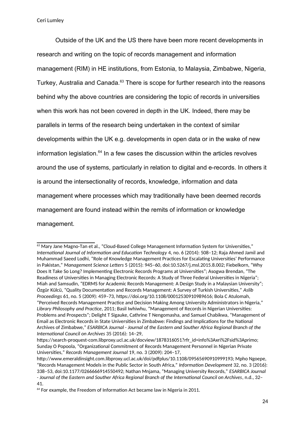Outside of the UK and the US there have been more recent developments in research and writing on the topic of records management and information management (RIM) in HE institutions, from Estonia, to Malaysia, Zimbabwe, Nigeria, Turkey, Australia and Canada.<sup>[63](#page-23-0)</sup> There is scope for further research into the reasons behind why the above countries are considering the topic of records in universities when this work has not been covered in depth in the UK. Indeed, there may be parallels in terms of the research being undertaken in the context of similar developments within the UK e.g. developments in open data or in the wake of new information legislation. $64$  In a few cases the discussion within the articles revolves around the use of systems, particularly in relation to digital and e-records. In others it is around the intersectionality of records, knowledge, information and data management where processes which may traditionally have been deemed records management are found instead within the remits of information or knowledge management.

<span id="page-23-0"></span><sup>63</sup> Mary Jane Magno-Tan et al., "Cloud-Based College Management Information System for Universities," *International Journal of Information and Education Technology* 4, no. 6 (2014): 508–12; Raja Ahmed Jamil and Muhammad Saeed Lodhi, "Role of Knowledge Management Practices for Escalating Universities' Performance in Pakistan," *Management Science Letters* 5 (2015): 945–60, doi:10.5267/j.msl.2015.8.002; Fiebelkorn, "Why Does It Take So Long? Implementing Electronic Records Programs at Universities"; Asogwa Brendan, "The Readiness of Universities in Managing Electronic Records: A Study of Three Federal Universities in Nigeria"; Miah and Samsudin, "EDRMS for Academic Records Management: A Design Study in a Malaysian University"; Özgür Külcü, "Quality Documentation and Records Management: A Survey of Turkish Universities," *Aslib Proceedings* 61, no. 5 (2009): 459–73, https://doi.org/10.1108/00012530910989616; Bola C Atulomah, "Perceived Records Management Practice and Decision Making Among University Administrators in Nigeria," *Library Philosophy and Practice*, 2011; Basil Iwhiwhu, "Management of Records in Nigerian Universities: Problems and Prospects"; Delight T Sigauke, Cathrine T Nengomasha, and Samuel Chabikwa, "Management of Email as Electronic Records in State Universities in Zimbabwe: Findings and Implications for the National Archives of Zimbabwe," *ESARBICA Journal - Journal of the Eastern and Souther Africa Regional Branch of the International Council on Archives* 35 (2016): 14–29,

https://search-proquest-com.libproxy.ucl.ac.uk/docview/1878316051?rfr\_id=info%3Axri%2Fsid%3Aprimo; Sunday O Popoola, "Organizational Commitment of Records Management Personnel in Nigerian Private Universities," *Records Management Journal* 19, no. 3 (2009): 204–17,

http://www.emeraldinsight.com.libproxy.ucl.ac.uk/doi/pdfplus/10.1108/09565690910999193; Mpho Ngoepe, "Records Management Models in the Public Sector in South Africa," *Information Development* 32, no. 3 (2016): 338–53, doi:10.1177/0266666914550492; Nathan Mnjama, "Managing University Records," *ESARBICA Journal - Journal of the Eastern and Souther Africa Regional Branch of the International Council on Archives*, n.d., 32– 41.

<span id="page-23-1"></span><sup>&</sup>lt;sup>64</sup> For example, the Freedom of Information Act became law in Nigeria in 2011.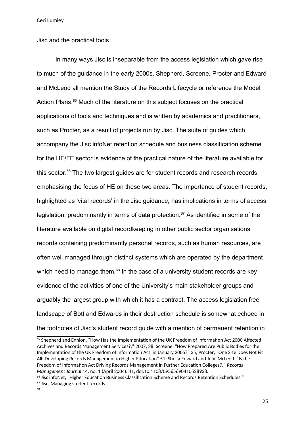#### Jisc and the practical tools

In many ways Jisc is inseparable from the access legislation which gave rise to much of the guidance in the early 2000s. Shepherd, Screene, Procter and Edward and McLeod all mention the Study of the Records Lifecycle or reference the Model Action Plans.<sup>[65](#page-24-0)</sup> Much of the literature on this subject focuses on the practical applications of tools and techniques and is written by academics and practitioners, such as Procter, as a result of projects run by Jisc. The suite of guides which accompany the Jisc infoNet retention schedule and business classification scheme for the HE/FE sector is evidence of the practical nature of the literature available for this sector.<sup>[66](#page-24-1)</sup> The two largest guides are for student records and research records emphasising the focus of HE on these two areas. The importance of student records, highlighted as 'vital records' in the Jisc guidance, has implications in terms of access legislation, predominantly in terms of data protection.<sup>[67](#page-24-2)</sup> As identified in some of the literature available on digital recordkeeping in other public sector organisations, records containing predominantly personal records, such as human resources, are often well managed through distinct systems which are operated by the department which need to manage them.<sup>[68](#page-24-3)</sup> In the case of a university student records are key evidence of the activities of one of the University's main stakeholder groups and arguably the largest group with which it has a contract. The access legislation free landscape of Bott and Edwards in their destruction schedule is somewhat echoed in the footnotes of Jisc's student record guide with a mention of permanent retention in

<span id="page-24-0"></span> $\overline{65}$  Shepherd and Ennion, "How Has the Implementation of the UK Freedom of Information Act 2000 Affected Archives and Records Management Services?," 2007, 38; Screene, "How Prepared Are Public Bodies for the Implementation of the UK Freedom of Information Act, in January 2005?" 35; Procter, "One Size Does Not Fit All: Developing Records Management in Higher Education" 51; Sheila Edward and Julie McLeod, "Is the Freedom of Information Act Driving Records Management in Further Education Colleges?," *Records Management Journal* 14, no. 1 (April 2004): 41, doi:10.1108/09565690410528938.

<span id="page-24-3"></span><span id="page-24-2"></span><span id="page-24-1"></span><sup>66</sup> Jisc infoNet, "Higher Education Business Classification Scheme and Records Retention Schedules." <sup>67</sup> Jisc, Managing student records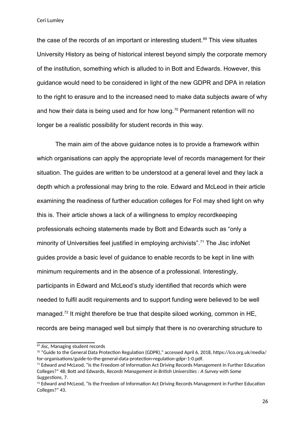the case of the records of an important or interesting student.<sup>[69](#page-25-0)</sup> This view situates University History as being of historical interest beyond simply the corporate memory of the institution, something which is alluded to in Bott and Edwards. However, this guidance would need to be considered in light of the new GDPR and DPA in relation to the right to erasure and to the increased need to make data subjects aware of why and how their data is being used and for how long.<sup>[70](#page-25-1)</sup> Permanent retention will no longer be a realistic possibility for student records in this way.

The main aim of the above guidance notes is to provide a framework within which organisations can apply the appropriate level of records management for their situation. The guides are written to be understood at a general level and they lack a depth which a professional may bring to the role. Edward and McLeod in their article examining the readiness of further education colleges for FoI may shed light on why this is. Their article shows a lack of a willingness to employ recordkeeping professionals echoing statements made by Bott and Edwards such as "only a minority of Universities feel justified in employing archivists".<sup>[71](#page-25-2)</sup> The Jisc infoNet guides provide a basic level of guidance to enable records to be kept in line with minimum requirements and in the absence of a professional. Interestingly, participants in Edward and McLeod's study identified that records which were needed to fulfil audit requirements and to support funding were believed to be well managed.<sup>[72](#page-25-3)</sup> It might therefore be true that despite siloed working, common in HE, records are being managed well but simply that there is no overarching structure to

<span id="page-25-0"></span><sup>69</sup> Jisc, Managing student records

<span id="page-25-1"></span><sup>70</sup> "Guide to the General Data Protection Regulation (GDPR)," accessed April 6, 2018, https://ico.org.uk/media/ for-organisations/guide-to-the-general-data-protection-regulation-gdpr-1-0.pdf.

<span id="page-25-2"></span> $71$  Edward and McLeod, "Is the Freedom of Information Act Driving Records Management in Further Education Colleges?" 48; Bott and Edwards, *Records Management in British Universities : A Survey with Some Suggestions,* 7.

<span id="page-25-3"></span> $72$  Edward and McLeod, "Is the Freedom of Information Act Driving Records Management in Further Education Colleges?" 43.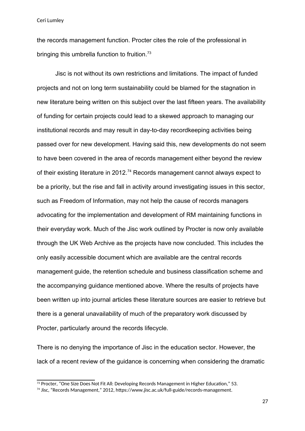the records management function. Procter cites the role of the professional in bringing this umbrella function to fruition.<sup>[73](#page-26-0)</sup>

Jisc is not without its own restrictions and limitations. The impact of funded projects and not on long term sustainability could be blamed for the stagnation in new literature being written on this subject over the last fifteen years. The availability of funding for certain projects could lead to a skewed approach to managing our institutional records and may result in day-to-day recordkeeping activities being passed over for new development. Having said this, new developments do not seem to have been covered in the area of records management either beyond the review of their existing literature in 2012.[74](#page-26-1) Records management cannot always expect to be a priority, but the rise and fall in activity around investigating issues in this sector, such as Freedom of Information, may not help the cause of records managers advocating for the implementation and development of RM maintaining functions in their everyday work. Much of the Jisc work outlined by Procter is now only available through the UK Web Archive as the projects have now concluded. This includes the only easily accessible document which are available are the central records management guide, the retention schedule and business classification scheme and the accompanying guidance mentioned above. Where the results of projects have been written up into journal articles these literature sources are easier to retrieve but there is a general unavailability of much of the preparatory work discussed by Procter, particularly around the records lifecycle.

There is no denying the importance of Jisc in the education sector. However, the lack of a recent review of the guidance is concerning when considering the dramatic

<span id="page-26-0"></span> $\frac{1}{2}$  Procter, "One Size Does Not Fit All: Developing Records Management in Higher Education," 53.

<span id="page-26-1"></span><sup>74</sup> Jisc, "Records Management," 2012, https://www.jisc.ac.uk/full-guide/records-management.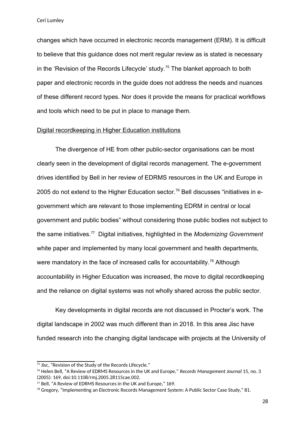changes which have occurred in electronic records management (ERM). It is difficult to believe that this guidance does not merit regular review as is stated is necessary in the 'Revision of the Records Lifecycle' study.<sup>[75](#page-27-0)</sup> The blanket approach to both paper and electronic records in the guide does not address the needs and nuances of these different record types. Nor does it provide the means for practical workflows and tools which need to be put in place to manage them.

#### Digital recordkeeping in Higher Education institutions

The divergence of HE from other public-sector organisations can be most clearly seen in the development of digital records management. The e-government drives identified by Bell in her review of EDRMS resources in the UK and Europe in 2005 do not extend to the Higher Education sector.<sup>[76](#page-27-1)</sup> Bell discusses "initiatives in egovernment which are relevant to those implementing EDRM in central or local government and public bodies" without considering those public bodies not subject to the same initiatives.[77](#page-27-2) Digital initiatives, highlighted in the *Modernizing Government*  white paper and implemented by many local government and health departments, were mandatory in the face of increased calls for accountability.<sup>[78](#page-27-3)</sup> Although accountability in Higher Education was increased, the move to digital recordkeeping and the reliance on digital systems was not wholly shared across the public sector.

Key developments in digital records are not discussed in Procter's work. The digital landscape in 2002 was much different than in 2018. In this area Jisc have funded research into the changing digital landscape with projects at the University of

<span id="page-27-0"></span> $\overline{75}$  Jisc, "Revision of the Study of the Records Lifecycle."

<span id="page-27-1"></span><sup>76</sup> Helen Bell, "A Review of EDRMS Resources in the UK and Europe," *Records Management Journal* 15, no. 3 (2005): 169, doi:10.1108/rmj.2005.28115cae.002.

<span id="page-27-2"></span><sup>77</sup> Bell, "A Review of EDRMS Resources in the UK and Europe," 169.

<span id="page-27-3"></span><sup>78</sup> Gregory, "Implementing an Electronic Records Management System: A Public Sector Case Study," 81.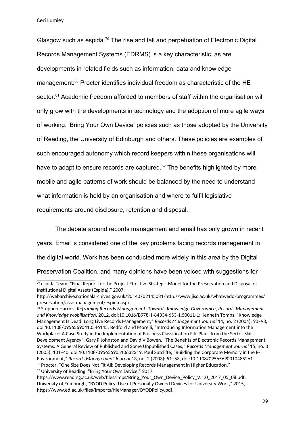Glasgow such as espida.[79](#page-28-0) The rise and fall and perpetuation of Electronic Digital Records Management Systems (EDRMS) is a key characteristic, as are developments in related fields such as information, data and knowledge management.<sup>[80](#page-28-1)</sup> Procter identifies individual freedom as characteristic of the HE sector.<sup>[81](#page-28-2)</sup> Academic freedom afforded to members of staff within the organisation will only grow with the developments in technology and the adoption of more agile ways of working. 'Bring Your Own Device' policies such as those adopted by the University of Reading, the University of Edinburgh and others. These policies are examples of such encouraged autonomy which record keepers within these organisations will have to adapt to ensure records are captured.<sup>[82](#page-28-3)</sup> The benefits highlighted by more mobile and agile patterns of work should be balanced by the need to understand what information is held by an organisation and where to fulfil legislative requirements around disclosure, retention and disposal.

The debate around records management and email has only grown in recent years. Email is considered one of the key problems facing records management in the digital world. Work has been conducted more widely in this area by the Digital Preservation Coalition, and many opinions have been voiced with suggestions for

<span id="page-28-0"></span><sup>79</sup> espida Team, "Final Report for the Project Effective Strategic Model for the Preservation and Disposal of Institutional Digital Assets (Espida)," 2007,

http://webarchive.nationalarchives.gov.uk/20140702145031/http://www.jisc.ac.uk/whatwedo/programmes/ preservation/assetmanagement/espida.aspx.

<span id="page-28-1"></span><sup>80</sup> Stephen Harries, *Reframing Records Management: Towards Knowledge Governance*, *Records Management and Knowledge Mobilisation*, 2012, doi:10.1016/B978-1-84334-653-1.50011-1; Kenneth Tombs, "Knowledge Management Is Dead: Long Live Records Management," *Records Management Journal* 14, no. 2 (2004): 90–93, doi:10.1108/09565690410546145; Bedford and Morelli, "Introducing Information Management into the Workplace: A Case Study in the Implementation of Business Classification File Plans from the Sector Skills Development Agency"; Gary P Johnston and David V Bowen, "The Benefits of Electronic Records Management Systems: A General Review of Published and Some Unpublished Cases," *Records Management Journal* 15, no. 3 (2005): 131–40, doi:10.1108/09565690510632319; Paul Sutcliffe, "Building the Corporate Memory in the E-Environment," *Records Management Journal* 13, no. 2 (2003): 51–53, doi:10.1108/09565690310485261. 81 Procter, "One Size Does Not Fit All: Developing Records Management in Higher Education."

<span id="page-28-3"></span><span id="page-28-2"></span><sup>82</sup> University of Reading, "Bring Your Own Device," 2017,

https://www.reading.ac.uk/web/files/imps/Bring\_Your\_Own\_Device\_Policy\_V.1.0\_2017\_05\_08.pdf; University of Edinburgh, "BYOD Policy: Use of Personally Owned Devices for University Work," 2015, https://www.ed.ac.uk/files/imports/fileManager/BYODPolicy.pdf.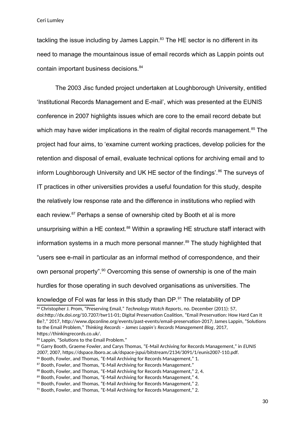tackling the issue including by James Lappin.<sup>[83](#page-29-0)</sup> The HE sector is no different in its need to manage the mountainous issue of email records which as Lappin points out contain important business decisions.<sup>[84](#page-29-1)</sup>

The 2003 Jisc funded project undertaken at Loughborough University, entitled 'Institutional Records Management and E-mail', which was presented at the EUNIS conference in 2007 highlights issues which are core to the email record debate but which may have wider implications in the realm of digital records management.<sup>[85](#page-29-2)</sup> The project had four aims, to 'examine current working practices, develop policies for the retention and disposal of email, evaluate technical options for archiving email and to inform Loughborough University and UK HE sector of the findings'.<sup>[86](#page-29-3)</sup> The surveys of IT practices in other universities provides a useful foundation for this study, despite the relatively low response rate and the difference in institutions who replied with each review.<sup>[87](#page-29-4)</sup> Perhaps a sense of ownership cited by Booth et al is more unsurprising within a HE context.<sup>[88](#page-29-5)</sup> Within a sprawling HE structure staff interact with information systems in a much more personal manner.<sup>[89](#page-29-6)</sup> The study highlighted that "users see e-mail in particular as an informal method of correspondence, and their own personal property".[90](#page-29-7) Overcoming this sense of ownership is one of the main hurdles for those operating in such devolved organisations as universities. The

knowledge of FoI was far less in this study than DP.<sup>[91](#page-29-8)</sup> The relatability of DP

<span id="page-29-3"></span>86 Booth, Fowler, and Thomas, "E-Mail Archiving for Records Management," 1.

<span id="page-29-5"></span>88 Booth, Fowler, and Thomas, "E-Mail Archiving for Records Management," 2, 4.

<span id="page-29-7"></span><sup>90</sup> Booth, Fowler, and Thomas, "E-Mail Archiving for Records Management," 2.

<span id="page-29-0"></span><sup>83</sup> Christopher J. Prom, "Preserving Email," *Technology Watch Reports*, no. December (2011): 57, doi:http://dx.doi.org/10.7207/twr11-01; Digital Preservation Coalition, "Email Preservation: How Hard Can It Be?," 2017, http://www.dpconline.org/events/past-events/email-preservation-2017; James Lappin, "Solutions to the Email Problem," *Thinking Records – James Lappin's Records Management Blog*, 2017, https://thinkingrecords.co.uk/.

<span id="page-29-1"></span><sup>84</sup> Lappin, "Solutions to the Email Problem."

<span id="page-29-2"></span><sup>85</sup> Garry Booth, Graeme Fowler, and Carys Thomas, "E-Mail Archiving for Records Management," in *EUNIS 2007*, 2007, https://dspace.lboro.ac.uk/dspace-jspui/bitstream/2134/3091/1/eunis2007-110.pdf.

<span id="page-29-4"></span><sup>87</sup> Booth, Fowler, and Thomas, "E-Mail Archiving for Records Management."

<span id="page-29-6"></span><sup>89</sup> Booth, Fowler, and Thomas, "E-Mail Archiving for Records Management," 4.

<span id="page-29-8"></span><sup>91</sup> Booth, Fowler, and Thomas, "E-Mail Archiving for Records Management," 2.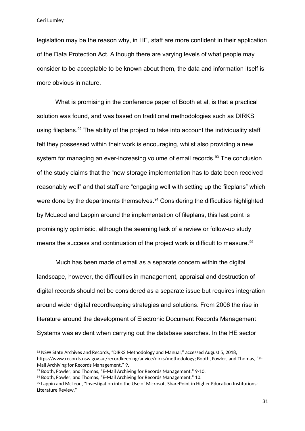legislation may be the reason why, in HE, staff are more confident in their application of the Data Protection Act. Although there are varying levels of what people may consider to be acceptable to be known about them, the data and information itself is more obvious in nature.

What is promising in the conference paper of Booth et al, is that a practical solution was found, and was based on traditional methodologies such as DIRKS using fileplans.<sup>[92](#page-30-0)</sup> The ability of the project to take into account the individuality staff felt they possessed within their work is encouraging, whilst also providing a new system for managing an ever-increasing volume of email records.<sup>[93](#page-30-1)</sup> The conclusion of the study claims that the "new storage implementation has to date been received reasonably well" and that staff are "engaging well with setting up the fileplans" which were done by the departments themselves.<sup>[94](#page-30-2)</sup> Considering the difficulties highlighted by McLeod and Lappin around the implementation of fileplans, this last point is promisingly optimistic, although the seeming lack of a review or follow-up study means the success and continuation of the project work is difficult to measure.<sup>[95](#page-30-3)</sup>

Much has been made of email as a separate concern within the digital landscape, however, the difficulties in management, appraisal and destruction of digital records should not be considered as a separate issue but requires integration around wider digital recordkeeping strategies and solutions. From 2006 the rise in literature around the development of Electronic Document Records Management Systems was evident when carrying out the database searches. In the HE sector

<span id="page-30-0"></span><sup>92</sup> NSW State Archives and Records, "DIRKS Methodology and Manual," accessed August 5, 2018, https://www.records.nsw.gov.au/recordkeeping/advice/dirks/methodology; Booth, Fowler, and Thomas, "E-Mail Archiving for Records Management," 9.

<span id="page-30-1"></span><sup>93</sup> Booth, Fowler, and Thomas, "E-Mail Archiving for Records Management," 9-10.

<span id="page-30-2"></span><sup>94</sup> Booth, Fowler, and Thomas, "E-Mail Archiving for Records Management," 10.

<span id="page-30-3"></span><sup>95</sup> Lappin and McLeod, "Investigation into the Use of Microsoft SharePoint in Higher Education Institutions: Literature Review."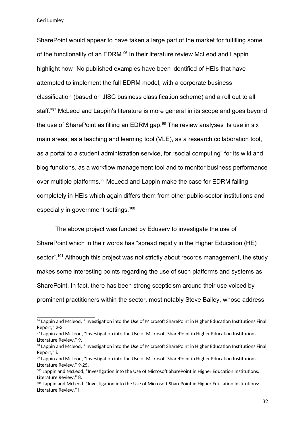SharePoint would appear to have taken a large part of the market for fulfilling some of the functionality of an EDRM.<sup>[96](#page-31-0)</sup> In their literature review McLeod and Lappin highlight how "No published examples have been identified of HEIs that have attempted to implement the full EDRM model, with a corporate business classification (based on JISC business classification scheme) and a roll out to all staff."[97](#page-31-1) McLeod and Lappin's literature is more general in its scope and goes beyond the use of SharePoint as filling an EDRM gap.<sup>[98](#page-31-2)</sup> The review analyses its use in six main areas; as a teaching and learning tool (VLE), as a research collaboration tool, as a portal to a student administration service, for "social computing" for its wiki and blog functions, as a workflow management tool and to monitor business performance over multiple platforms.<sup>[99](#page-31-3)</sup> McLeod and Lappin make the case for EDRM failing completely in HEIs which again differs them from other public-sector institutions and especially in government settings.<sup>[100](#page-31-4)</sup>

The above project was funded by Eduserv to investigate the use of SharePoint which in their words has "spread rapidly in the Higher Education (HE) sector".<sup>[101](#page-31-5)</sup> Although this project was not strictly about records management, the study makes some interesting points regarding the use of such platforms and systems as SharePoint. In fact, there has been strong scepticism around their use voiced by prominent practitioners within the sector, most notably Steve Bailey, whose address

<span id="page-31-0"></span><sup>96</sup> Lappin and Mcleod, "Investigation into the Use of Microsoft SharePoint in Higher Education Institutions Final Report," 2-3.

<span id="page-31-1"></span><sup>97</sup> Lappin and McLeod, "Investigation into the Use of Microsoft SharePoint in Higher Education Institutions: Literature Review," 9.

<span id="page-31-2"></span><sup>98</sup> Lappin and Mcleod, "Investigation into the Use of Microsoft SharePoint in Higher Education Institutions Final Report," i.

<span id="page-31-3"></span><sup>99</sup> Lappin and McLeod, "Investigation into the Use of Microsoft SharePoint in Higher Education Institutions: Literature Review," 9-25.

<span id="page-31-4"></span><sup>100</sup> Lappin and McLeod, "Investigation into the Use of Microsoft SharePoint in Higher Education Institutions: Literature Review," 8.

<span id="page-31-5"></span><sup>101</sup> Lappin and McLeod, "Investigation into the Use of Microsoft SharePoint in Higher Education Institutions: Literature Review," i.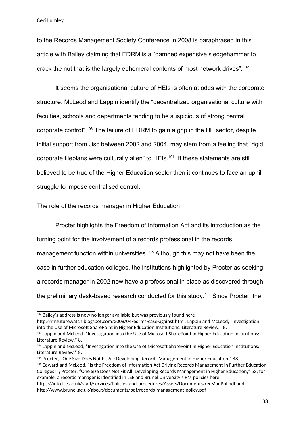to the Records Management Society Conference in 2008 is paraphrased in this article with Bailey claiming that EDRM is a "damned expensive sledgehammer to crack the nut that is the largely ephemeral contents of most network drives".<sup>[102](#page-32-0)</sup>

It seems the organisational culture of HEIs is often at odds with the corporate structure. McLeod and Lappin identify the "decentralized organisational culture with faculties, schools and departments tending to be suspicious of strong central corporate control".[103](#page-32-1) The failure of EDRM to gain a grip in the HE sector, despite initial support from Jisc between 2002 and 2004, may stem from a feeling that "rigid corporate fileplans were culturally alien" to HEIs.[104](#page-32-2) If these statements are still believed to be true of the Higher Education sector then it continues to face an uphill struggle to impose centralised control.

#### The role of the records manager in Higher Education

Procter highlights the Freedom of Information Act and its introduction as the turning point for the involvement of a records professional in the records management function within universities.<sup>[105](#page-32-3)</sup> Although this may not have been the case in further education colleges, the institutions highlighted by Procter as seeking a records manager in 2002 now have a professional in place as discovered through the preliminary desk-based research conducted for this study.<sup>[106](#page-32-4)</sup> Since Procter, the

<span id="page-32-0"></span> $102$  Bailey's address is now no longer available but was previously found here

http://rmfuturewatch.blogspot.com/2008/04/edrms-case-against.html; Lappin and McLeod, "Investigation into the Use of Microsoft SharePoint in Higher Education Institutions: Literature Review," 8.

<span id="page-32-1"></span><sup>103</sup> Lappin and McLeod, "Investigation into the Use of Microsoft SharePoint in Higher Education Institutions: Literature Review," 8.

<span id="page-32-2"></span><sup>104</sup> Lappin and McLeod, "Investigation into the Use of Microsoft SharePoint in Higher Education Institutions: Literature Review," 8.

<span id="page-32-3"></span><sup>105</sup> Procter, "One Size Does Not Fit All: Developing Records Management in Higher Education," 48.

<span id="page-32-4"></span><sup>106</sup> Edward and McLeod, "Is the Freedom of Information Act Driving Records Management in Further Education Colleges?"; Procter, "One Size Does Not Fit All: Developing Records Management in Higher Education," 53; for example, a records manager is identified in LSE and Brunel University's RM policies here

https://info.lse.ac.uk/staff/services/Policies-and-procedures/Assets/Documents/recManPol.pdf and http://www.brunel.ac.uk/about/documents/pdf/records-management-policy.pdf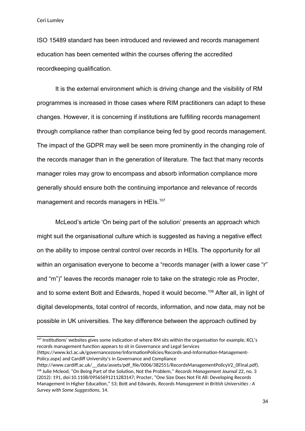ISO 15489 standard has been introduced and reviewed and records management education has been cemented within the courses offering the accredited recordkeeping qualification.

It is the external environment which is driving change and the visibility of RM programmes is increased in those cases where RIM practitioners can adapt to these changes. However, it is concerning if institutions are fulfilling records management through compliance rather than compliance being fed by good records management. The impact of the GDPR may well be seen more prominently in the changing role of the records manager than in the generation of literature. The fact that many records manager roles may grow to encompass and absorb information compliance more generally should ensure both the continuing importance and relevance of records management and records managers in HEIs.<sup>[107](#page-33-0)</sup>

McLeod's article 'On being part of the solution' presents an approach which might suit the organisational culture which is suggested as having a negative effect on the ability to impose central control over records in HEIs. The opportunity for all within an organisation everyone to become a "records manager (with a lower case "r" and "m")" leaves the records manager role to take on the strategic role as Procter, and to some extent Bott and Edwards, hoped it would become.<sup>[108](#page-33-1)</sup> After all, in light of digital developments, total control of records, information, and now data, may not be possible in UK universities. The key difference between the approach outlined by

(https://www.kcl.ac.uk/governancezone/InformationPolicies/Records-and-Information-Management-Policy.aspx) and Cardiff University's in Governance and Compliance

<span id="page-33-0"></span> $107$  Institutions' websites gives some indication of where RM sits within the organisation for example, KCL's records management function appears to sit in Governance and Legal Services

<span id="page-33-1"></span><sup>(</sup>http://www.cardiff.ac.uk/\_\_data/assets/pdf\_file/0006/382551/RecordsManagementPolicyV2\_0Final.pdf). <sup>108</sup> Julie Mcleod, "On Being Part of the Solution, Not the Problem," *Records Management Journal* 22, no. 3 (2012): 191, doi:10.1108/09565691211283147; Procter, "One Size Does Not Fit All: Developing Records Management in Higher Education," 53; Bott and Edwards, *Records Management in British Universities : A Survey with Some Suggestions,* 14.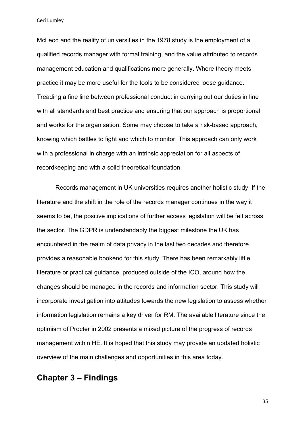McLeod and the reality of universities in the 1978 study is the employment of a qualified records manager with formal training, and the value attributed to records management education and qualifications more generally. Where theory meets practice it may be more useful for the tools to be considered loose guidance. Treading a fine line between professional conduct in carrying out our duties in line with all standards and best practice and ensuring that our approach is proportional and works for the organisation. Some may choose to take a risk-based approach, knowing which battles to fight and which to monitor. This approach can only work with a professional in charge with an intrinsic appreciation for all aspects of recordkeeping and with a solid theoretical foundation.

Records management in UK universities requires another holistic study. If the literature and the shift in the role of the records manager continues in the way it seems to be, the positive implications of further access legislation will be felt across the sector. The GDPR is understandably the biggest milestone the UK has encountered in the realm of data privacy in the last two decades and therefore provides a reasonable bookend for this study. There has been remarkably little literature or practical guidance, produced outside of the ICO, around how the changes should be managed in the records and information sector. This study will incorporate investigation into attitudes towards the new legislation to assess whether information legislation remains a key driver for RM. The available literature since the optimism of Procter in 2002 presents a mixed picture of the progress of records management within HE. It is hoped that this study may provide an updated holistic overview of the main challenges and opportunities in this area today.

# **Chapter 3 – Findings**

35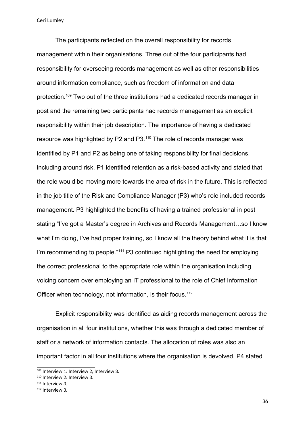The participants reflected on the overall responsibility for records management within their organisations. Three out of the four participants had responsibility for overseeing records management as well as other responsibilities around information compliance, such as freedom of information and data protection.[109](#page-35-0) Two out of the three institutions had a dedicated records manager in post and the remaining two participants had records management as an explicit responsibility within their job description. The importance of having a dedicated resource was highlighted by P2 and P3.[110](#page-35-1) The role of records manager was identified by P1 and P2 as being one of taking responsibility for final decisions, including around risk. P1 identified retention as a risk-based activity and stated that the role would be moving more towards the area of risk in the future. This is reflected in the job title of the Risk and Compliance Manager (P3) who's role included records management. P3 highlighted the benefits of having a trained professional in post stating "I've got a Master's degree in Archives and Records Management…so I know what I'm doing, I've had proper training, so I know all the theory behind what it is that I'm recommending to people."<sup>[111](#page-35-2)</sup> P3 continued highlighting the need for employing the correct professional to the appropriate role within the organisation including voicing concern over employing an IT professional to the role of Chief Information Officer when technology, not information, is their focus.<sup>[112](#page-35-3)</sup>

Explicit responsibility was identified as aiding records management across the organisation in all four institutions, whether this was through a dedicated member of staff or a network of information contacts. The allocation of roles was also an important factor in all four institutions where the organisation is devolved. P4 stated

<span id="page-35-0"></span><sup>109</sup> Interview 1: Interview 2; Interview 3.

<span id="page-35-1"></span><sup>&</sup>lt;sup>110</sup> Interview 2: Interview 3.

<span id="page-35-2"></span><sup>&</sup>lt;sup>111</sup> Interview 3.

<span id="page-35-3"></span><sup>112</sup> Interview 3.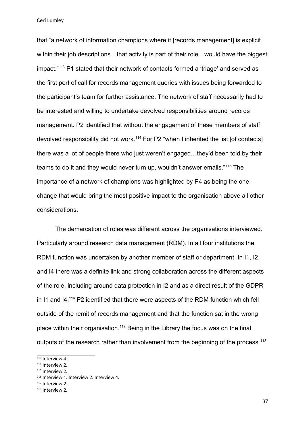that "a network of information champions where it [records management] is explicit within their job descriptions...that activity is part of their role...would have the biggest impact."[113](#page-36-0) P1 stated that their network of contacts formed a 'triage' and served as the first port of call for records management queries with issues being forwarded to the participant's team for further assistance. The network of staff necessarily had to be interested and willing to undertake devolved responsibilities around records management. P2 identified that without the engagement of these members of staff devolved responsibility did not work.<sup>[114](#page-36-1)</sup> For P2 "when I inherited the list [of contacts] there was a lot of people there who just weren't engaged…they'd been told by their teams to do it and they would never turn up, wouldn't answer emails."<sup>[115](#page-36-2)</sup> The importance of a network of champions was highlighted by P4 as being the one change that would bring the most positive impact to the organisation above all other considerations.

The demarcation of roles was different across the organisations interviewed. Particularly around research data management (RDM). In all four institutions the RDM function was undertaken by another member of staff or department. In I1, I2, and I4 there was a definite link and strong collaboration across the different aspects of the role, including around data protection in I2 and as a direct result of the GDPR in I1 and I4.[116](#page-36-3) P2 identified that there were aspects of the RDM function which fell outside of the remit of records management and that the function sat in the wrong place within their organisation.[117](#page-36-4) Being in the Library the focus was on the final outputs of the research rather than involvement from the beginning of the process.<sup>[118](#page-36-5)</sup>

<span id="page-36-0"></span> $113$  Interview 4.

<span id="page-36-1"></span><sup>&</sup>lt;sup>114</sup> Interview 2.

<span id="page-36-2"></span><sup>&</sup>lt;sup>115</sup> Interview 2.

<span id="page-36-3"></span><sup>116</sup> Interview 1: Interview 2: Interview 4.

<span id="page-36-4"></span><sup>&</sup>lt;sup>117</sup> Interview 2.

<span id="page-36-5"></span><sup>118</sup> Interview 2.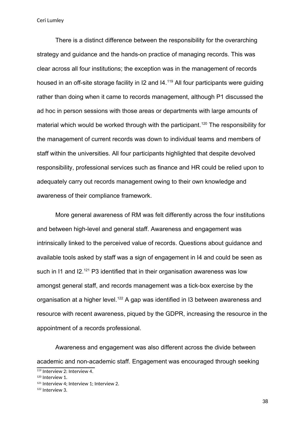There is a distinct difference between the responsibility for the overarching strategy and guidance and the hands-on practice of managing records. This was clear across all four institutions; the exception was in the management of records housed in an off-site storage facility in I2 and I4.<sup>[119](#page-37-0)</sup> All four participants were guiding rather than doing when it came to records management, although P1 discussed the ad hoc in person sessions with those areas or departments with large amounts of material which would be worked through with the participant.<sup>[120](#page-37-1)</sup> The responsibility for the management of current records was down to individual teams and members of staff within the universities. All four participants highlighted that despite devolved responsibility, professional services such as finance and HR could be relied upon to adequately carry out records management owing to their own knowledge and awareness of their compliance framework.

More general awareness of RM was felt differently across the four institutions and between high-level and general staff. Awareness and engagement was intrinsically linked to the perceived value of records. Questions about guidance and available tools asked by staff was a sign of engagement in I4 and could be seen as such in I1 and I2.<sup>[121](#page-37-2)</sup> P3 identified that in their organisation awareness was low amongst general staff, and records management was a tick-box exercise by the organisation at a higher level.<sup>[122](#page-37-3)</sup> A gap was identified in I3 between awareness and resource with recent awareness, piqued by the GDPR, increasing the resource in the appointment of a records professional.

Awareness and engagement was also different across the divide between academic and non-academic staff. Engagement was encouraged through seeking

<span id="page-37-0"></span><sup>119</sup> Interview 2: Interview 4.

<span id="page-37-1"></span><sup>&</sup>lt;sup>120</sup> Interview 1.

<span id="page-37-2"></span><sup>&</sup>lt;sup>121</sup> Interview 4; Interview 1; Interview 2.

<span id="page-37-3"></span><sup>122</sup> Interview 3.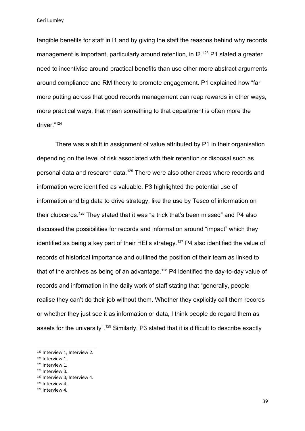tangible benefits for staff in I1 and by giving the staff the reasons behind why records management is important, particularly around retention, in I2.<sup>[123](#page-38-0)</sup> P1 stated a greater need to incentivise around practical benefits than use other more abstract arguments around compliance and RM theory to promote engagement. P1 explained how "far more putting across that good records management can reap rewards in other ways, more practical ways, that mean something to that department is often more the driver."[124](#page-38-1)

There was a shift in assignment of value attributed by P1 in their organisation depending on the level of risk associated with their retention or disposal such as personal data and research data.[125](#page-38-2) There were also other areas where records and information were identified as valuable. P3 highlighted the potential use of information and big data to drive strategy, like the use by Tesco of information on their clubcards.[126](#page-38-3) They stated that it was "a trick that's been missed" and P4 also discussed the possibilities for records and information around "impact" which they identified as being a key part of their HEI's strategy.<sup>[127](#page-38-4)</sup> P4 also identified the value of records of historical importance and outlined the position of their team as linked to that of the archives as being of an advantage.<sup>[128](#page-38-5)</sup> P4 identified the day-to-day value of records and information in the daily work of staff stating that "generally, people realise they can't do their job without them. Whether they explicitly call them records or whether they just see it as information or data, I think people do regard them as assets for the university".[129](#page-38-6) Similarly, P3 stated that it is difficult to describe exactly

39

<span id="page-38-0"></span><sup>123</sup> Interview 1; Interview 2.

<span id="page-38-1"></span><sup>&</sup>lt;sup>124</sup> Interview 1.

<span id="page-38-2"></span><sup>&</sup>lt;sup>125</sup> Interview 1.

<span id="page-38-3"></span><sup>&</sup>lt;sup>126</sup> Interview 3.

<span id="page-38-4"></span><sup>127</sup> Interview 3; Interview 4.

<span id="page-38-5"></span><sup>128</sup> Interview 4.

<span id="page-38-6"></span><sup>129</sup> Interview 4.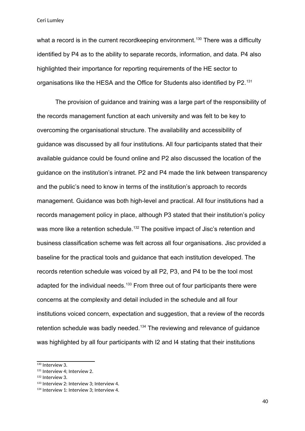what a record is in the current recordkeeping environment.<sup>[130](#page-39-0)</sup> There was a difficulty identified by P4 as to the ability to separate records, information, and data. P4 also highlighted their importance for reporting requirements of the HE sector to organisations like the HESA and the Office for Students also identified by P2.<sup>[131](#page-39-1)</sup>

The provision of guidance and training was a large part of the responsibility of the records management function at each university and was felt to be key to overcoming the organisational structure. The availability and accessibility of guidance was discussed by all four institutions. All four participants stated that their available guidance could be found online and P2 also discussed the location of the guidance on the institution's intranet. P2 and P4 made the link between transparency and the public's need to know in terms of the institution's approach to records management. Guidance was both high-level and practical. All four institutions had a records management policy in place, although P3 stated that their institution's policy was more like a retention schedule.<sup>[132](#page-39-2)</sup> The positive impact of Jisc's retention and business classification scheme was felt across all four organisations. Jisc provided a baseline for the practical tools and guidance that each institution developed. The records retention schedule was voiced by all P2, P3, and P4 to be the tool most adapted for the individual needs.<sup>[133](#page-39-3)</sup> From three out of four participants there were concerns at the complexity and detail included in the schedule and all four institutions voiced concern, expectation and suggestion, that a review of the records retention schedule was badly needed.<sup>[134](#page-39-4)</sup> The reviewing and relevance of guidance was highlighted by all four participants with I2 and I4 stating that their institutions

40

<span id="page-39-0"></span> $\overline{130}$  Interview 3.

<span id="page-39-1"></span><sup>131</sup> Interview 4; Interview 2.

<span id="page-39-2"></span><sup>132</sup> Interview 3.

<span id="page-39-3"></span><sup>&</sup>lt;sup>133</sup> Interview 2: Interview 3: Interview 4.

<span id="page-39-4"></span><sup>134</sup> Interview 1: Interview 3; Interview 4.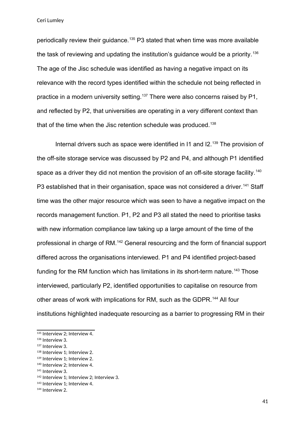periodically review their guidance.<sup>[135](#page-40-0)</sup> P3 stated that when time was more available the task of reviewing and updating the institution's quidance would be a priority.<sup>[136](#page-40-1)</sup> The age of the Jisc schedule was identified as having a negative impact on its relevance with the record types identified within the schedule not being reflected in practice in a modern university setting.<sup>[137](#page-40-2)</sup> There were also concerns raised by P1, and reflected by P2, that universities are operating in a very different context than that of the time when the Jisc retention schedule was produced.<sup>[138](#page-40-3)</sup>

Internal drivers such as space were identified in I1 and I2.[139](#page-40-4) The provision of the off-site storage service was discussed by P2 and P4, and although P1 identified space as a driver they did not mention the provision of an off-site storage facility.<sup>[140](#page-40-5)</sup> P3 established that in their organisation, space was not considered a driver.<sup>[141](#page-40-6)</sup> Staff time was the other major resource which was seen to have a negative impact on the records management function. P1, P2 and P3 all stated the need to prioritise tasks with new information compliance law taking up a large amount of the time of the professional in charge of RM.[142](#page-40-7) General resourcing and the form of financial support differed across the organisations interviewed. P1 and P4 identified project-based funding for the RM function which has limitations in its short-term nature.<sup>[143](#page-40-8)</sup> Those interviewed, particularly P2, identified opportunities to capitalise on resource from other areas of work with implications for RM, such as the GDPR.[144](#page-40-9) All four institutions highlighted inadequate resourcing as a barrier to progressing RM in their

<span id="page-40-0"></span> $135$  Interview 2; Interview 4.

<span id="page-40-1"></span><sup>&</sup>lt;sup>136</sup> Interview 3.

<span id="page-40-2"></span><sup>&</sup>lt;sup>137</sup> Interview 3.

<span id="page-40-3"></span><sup>&</sup>lt;sup>138</sup> Interview 1; Interview 2.

<span id="page-40-4"></span><sup>&</sup>lt;sup>139</sup> Interview 1: Interview 2.

<span id="page-40-5"></span><sup>140</sup> Interview 2; Interview 4.

<span id="page-40-6"></span><sup>&</sup>lt;sup>141</sup> Interview 3.

<span id="page-40-7"></span><sup>142</sup> Interview 1; Interview 2; Interview 3.

<span id="page-40-8"></span><sup>143</sup> Interview 1; Interview 4.

<span id="page-40-9"></span><sup>&</sup>lt;sup>144</sup> Interview 2.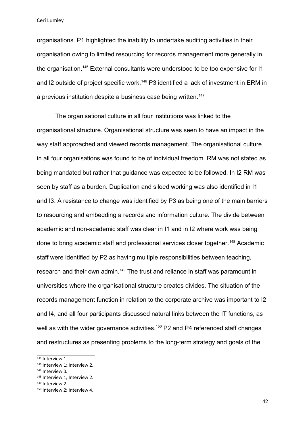organisations. P1 highlighted the inability to undertake auditing activities in their organisation owing to limited resourcing for records management more generally in the organisation.[145](#page-41-0) External consultants were understood to be too expensive for I1 and I2 outside of project specific work.<sup>[146](#page-41-1)</sup> P3 identified a lack of investment in ERM in a previous institution despite a business case being written.<sup>[147](#page-41-2)</sup>

The organisational culture in all four institutions was linked to the organisational structure. Organisational structure was seen to have an impact in the way staff approached and viewed records management. The organisational culture in all four organisations was found to be of individual freedom. RM was not stated as being mandated but rather that guidance was expected to be followed. In I2 RM was seen by staff as a burden. Duplication and siloed working was also identified in I1 and I3. A resistance to change was identified by P3 as being one of the main barriers to resourcing and embedding a records and information culture. The divide between academic and non-academic staff was clear in I1 and in I2 where work was being done to bring academic staff and professional services closer together.<sup>[148](#page-41-3)</sup> Academic staff were identified by P2 as having multiple responsibilities between teaching, research and their own admin.<sup>[149](#page-41-4)</sup> The trust and reliance in staff was paramount in universities where the organisational structure creates divides. The situation of the records management function in relation to the corporate archive was important to I2 and I4, and all four participants discussed natural links between the IT functions, as well as with the wider governance activities.<sup>[150](#page-41-5)</sup> P2 and P4 referenced staff changes and restructures as presenting problems to the long-term strategy and goals of the

<span id="page-41-0"></span><sup>&</sup>lt;sup>145</sup> Interview 1.

<span id="page-41-1"></span><sup>146</sup> Interview 1; Interview 2.

<span id="page-41-2"></span><sup>&</sup>lt;sup>147</sup> Interview 3.

<span id="page-41-3"></span><sup>&</sup>lt;sup>148</sup> Interview 1; Interview 2.

<span id="page-41-4"></span><sup>&</sup>lt;sup>149</sup> Interview 2.

<span id="page-41-5"></span><sup>&</sup>lt;sup>150</sup> Interview 2; Interview 4.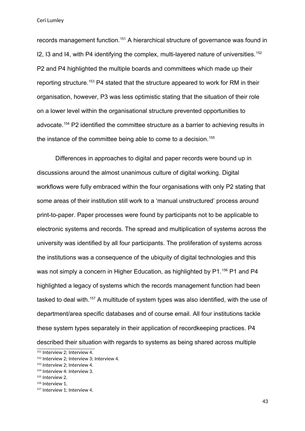records management function.<sup>[151](#page-42-0)</sup> A hierarchical structure of governance was found in I2, I3 and I4, with P4 identifying the complex, multi-layered nature of universities.<sup>[152](#page-42-1)</sup> P2 and P4 highlighted the multiple boards and committees which made up their reporting structure.[153](#page-42-2) P4 stated that the structure appeared to work for RM in their organisation, however, P3 was less optimistic stating that the situation of their role on a lower level within the organisational structure prevented opportunities to advocate.[154](#page-42-3) P2 identified the committee structure as a barrier to achieving results in the instance of the committee being able to come to a decision.<sup>[155](#page-42-4)</sup>

Differences in approaches to digital and paper records were bound up in discussions around the almost unanimous culture of digital working. Digital workflows were fully embraced within the four organisations with only P2 stating that some areas of their institution still work to a 'manual unstructured' process around print-to-paper. Paper processes were found by participants not to be applicable to electronic systems and records. The spread and multiplication of systems across the university was identified by all four participants. The proliferation of systems across the institutions was a consequence of the ubiquity of digital technologies and this was not simply a concern in Higher Education, as highlighted by P1.<sup>[156](#page-42-5)</sup> P1 and P4 highlighted a legacy of systems which the records management function had been tasked to deal with.<sup>[157](#page-42-6)</sup> A multitude of system types was also identified, with the use of department/area specific databases and of course email. All four institutions tackle these system types separately in their application of recordkeeping practices. P4

described their situation with regards to systems as being shared across multiple

43

<span id="page-42-0"></span><sup>151</sup> Interview 2; Interview 4.

<span id="page-42-1"></span><sup>&</sup>lt;sup>152</sup> Interview 2: Interview 3: Interview 4.

<span id="page-42-2"></span><sup>&</sup>lt;sup>153</sup> Interview 2; Interview 4.

<span id="page-42-3"></span><sup>&</sup>lt;sup>154</sup> Interview 4: Interview 3.

<span id="page-42-4"></span><sup>&</sup>lt;sup>155</sup> Interview 2.

<span id="page-42-5"></span><sup>&</sup>lt;sup>156</sup> Interview 1.

<span id="page-42-6"></span><sup>&</sup>lt;sup>157</sup> Interview 1; Interview 4.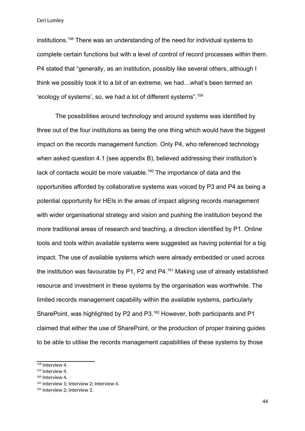institutions.[158](#page-43-0) There was an understanding of the need for individual systems to complete certain functions but with a level of control of record processes within them. P4 stated that "generally, as an institution, possibly like several others, although I think we possibly took it to a bit of an extreme, we had…what's been termed an 'ecology of systems', so, we had a lot of different systems".[159](#page-43-1)

The possibilities around technology and around systems was identified by three out of the four institutions as being the one thing which would have the biggest impact on the records management function. Only P4, who referenced technology when asked question 4.1 (see appendix B), believed addressing their institution's lack of contacts would be more valuable.<sup>[160](#page-43-2)</sup> The importance of data and the opportunities afforded by collaborative systems was voiced by P3 and P4 as being a potential opportunity for HEIs in the areas of impact aligning records management with wider organisational strategy and vision and pushing the institution beyond the more traditional areas of research and teaching, a direction identified by P1. Online tools and tools within available systems were suggested as having potential for a big impact. The use of available systems which were already embedded or used across the institution was favourable by P1, P2 and P4. $161$  Making use of already established resource and investment in these systems by the organisation was worthwhile. The limited records management capability within the available systems, particularly SharePoint, was highlighted by P2 and P3.<sup>[162](#page-43-4)</sup> However, both participants and P1 claimed that either the use of SharePoint, or the production of proper training guides to be able to utilise the records management capabilities of these systems by those

44

<span id="page-43-0"></span> $158$  Interview 4.

<span id="page-43-1"></span><sup>&</sup>lt;sup>159</sup> Interview 4.

<span id="page-43-2"></span><sup>&</sup>lt;sup>160</sup> Interview 4.

<span id="page-43-3"></span><sup>&</sup>lt;sup>161</sup> Interview 1; Interview 2; Interview 4.

<span id="page-43-4"></span><sup>&</sup>lt;sup>162</sup> Interview 2; Interview 3.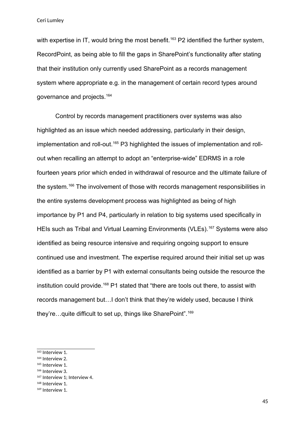with expertise in IT, would bring the most benefit.<sup>[163](#page-44-0)</sup> P2 identified the further system, RecordPoint, as being able to fill the gaps in SharePoint's functionality after stating that their institution only currently used SharePoint as a records management system where appropriate e.g. in the management of certain record types around governance and projects.[164](#page-44-1)

Control by records management practitioners over systems was also highlighted as an issue which needed addressing, particularly in their design, implementation and roll-out.<sup>[165](#page-44-2)</sup> P3 highlighted the issues of implementation and rollout when recalling an attempt to adopt an "enterprise-wide" EDRMS in a role fourteen years prior which ended in withdrawal of resource and the ultimate failure of the system.[166](#page-44-3) The involvement of those with records management responsibilities in the entire systems development process was highlighted as being of high importance by P1 and P4, particularly in relation to big systems used specifically in HEIs such as Tribal and Virtual Learning Environments (VLEs).<sup>[167](#page-44-4)</sup> Systems were also identified as being resource intensive and requiring ongoing support to ensure continued use and investment. The expertise required around their initial set up was identified as a barrier by P1 with external consultants being outside the resource the institution could provide.<sup>[168](#page-44-5)</sup> P1 stated that "there are tools out there, to assist with records management but…I don't think that they're widely used, because I think they're...quite difficult to set up, things like SharePoint".<sup>[169](#page-44-6)</sup>

<span id="page-44-0"></span><sup>&</sup>lt;sup>163</sup> Interview 1.

<span id="page-44-1"></span><sup>&</sup>lt;sup>164</sup> Interview 2.

<span id="page-44-2"></span><sup>&</sup>lt;sup>165</sup> Interview 1.

<span id="page-44-3"></span><sup>&</sup>lt;sup>166</sup> Interview 3.

<span id="page-44-4"></span><sup>&</sup>lt;sup>167</sup> Interview 1; Interview 4.

<span id="page-44-5"></span><sup>&</sup>lt;sup>168</sup> Interview 1.

<span id="page-44-6"></span><sup>&</sup>lt;sup>169</sup> Interview 1.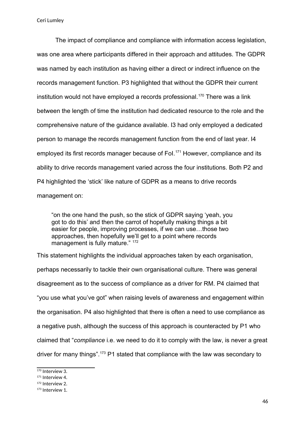The impact of compliance and compliance with information access legislation, was one area where participants differed in their approach and attitudes. The GDPR was named by each institution as having either a direct or indirect influence on the records management function. P3 highlighted that without the GDPR their current institution would not have employed a records professional.<sup>[170](#page-45-0)</sup> There was a link between the length of time the institution had dedicated resource to the role and the comprehensive nature of the guidance available. I3 had only employed a dedicated person to manage the records management function from the end of last year. I4 employed its first records manager because of Fol.<sup>[171](#page-45-1)</sup> However, compliance and its ability to drive records management varied across the four institutions. Both P2 and P4 highlighted the 'stick' like nature of GDPR as a means to drive records management on:

"on the one hand the push, so the stick of GDPR saying 'yeah, you got to do this' and then the carrot of hopefully making things a bit easier for people, improving processes, if we can use…those two approaches, then hopefully we'll get to a point where records management is fully mature." [172](#page-45-2)

This statement highlights the individual approaches taken by each organisation, perhaps necessarily to tackle their own organisational culture. There was general disagreement as to the success of compliance as a driver for RM. P4 claimed that "you use what you've got" when raising levels of awareness and engagement within the organisation. P4 also highlighted that there is often a need to use compliance as a negative push, although the success of this approach is counteracted by P1 who claimed that "*compliance* i.e. we need to do it to comply with the law, is never a great driver for many things".[173](#page-45-3) P1 stated that compliance with the law was secondary to

<span id="page-45-0"></span> $\frac{170}{170}$  Interview 3.

<span id="page-45-1"></span><sup>&</sup>lt;sup>171</sup> Interview 4.

<span id="page-45-2"></span><sup>&</sup>lt;sup>172</sup> Interview 2.

<span id="page-45-3"></span><sup>&</sup>lt;sup>173</sup> Interview 1.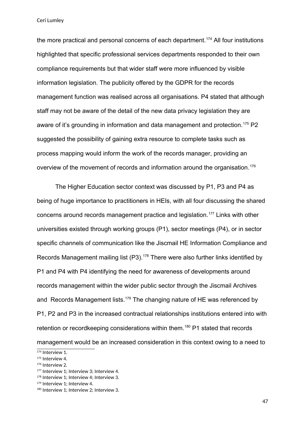the more practical and personal concerns of each department.<sup>[174](#page-46-0)</sup> All four institutions highlighted that specific professional services departments responded to their own compliance requirements but that wider staff were more influenced by visible information legislation. The publicity offered by the GDPR for the records management function was realised across all organisations. P4 stated that although staff may not be aware of the detail of the new data privacy legislation they are aware of it's grounding in information and data management and protection.<sup>[175](#page-46-1)</sup> P2 suggested the possibility of gaining extra resource to complete tasks such as process mapping would inform the work of the records manager, providing an overview of the movement of records and information around the organisation.<sup>[176](#page-46-2)</sup>

The Higher Education sector context was discussed by P1, P3 and P4 as being of huge importance to practitioners in HEIs, with all four discussing the shared concerns around records management practice and legislation.[177](#page-46-3) Links with other universities existed through working groups (P1), sector meetings (P4), or in sector specific channels of communication like the Jiscmail HE Information Compliance and Records Management mailing list (P3).<sup>[178](#page-46-4)</sup> There were also further links identified by P1 and P4 with P4 identifying the need for awareness of developments around records management within the wider public sector through the Jiscmail Archives and Records Management lists.<sup>[179](#page-46-5)</sup> The changing nature of HE was referenced by P1, P2 and P3 in the increased contractual relationships institutions entered into with retention or recordkeeping considerations within them.<sup>[180](#page-46-6)</sup> P1 stated that records management would be an increased consideration in this context owing to a need to

47

<span id="page-46-0"></span><sup>&</sup>lt;sup>174</sup> Interview 1.

<span id="page-46-1"></span><sup>&</sup>lt;sup>175</sup> Interview 4.

<span id="page-46-2"></span><sup>&</sup>lt;sup>176</sup> Interview 2.

<span id="page-46-3"></span><sup>177</sup> Interview 1; Interview 3; Interview 4.

<span id="page-46-4"></span><sup>178</sup> Interview 1; Interview 4; Interview 3.

<span id="page-46-5"></span><sup>179</sup> Interview 1; Interview 4.

<span id="page-46-6"></span><sup>180</sup> Interview 1; Interview 2; Interview 3.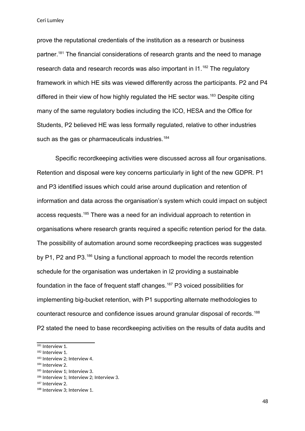prove the reputational credentials of the institution as a research or business partner.[181](#page-47-0) The financial considerations of research grants and the need to manage research data and research records was also important in I1.<sup>[182](#page-47-1)</sup> The regulatory framework in which HE sits was viewed differently across the participants. P2 and P4 differed in their view of how highly regulated the HE sector was.<sup>[183](#page-47-2)</sup> Despite citing many of the same regulatory bodies including the ICO, HESA and the Office for Students, P2 believed HE was less formally regulated, relative to other industries such as the gas or pharmaceuticals industries.<sup>[184](#page-47-3)</sup>

Specific recordkeeping activities were discussed across all four organisations. Retention and disposal were key concerns particularly in light of the new GDPR. P1 and P3 identified issues which could arise around duplication and retention of information and data across the organisation's system which could impact on subject access requests.[185](#page-47-4) There was a need for an individual approach to retention in organisations where research grants required a specific retention period for the data. The possibility of automation around some recordkeeping practices was suggested by P1, P2 and P3.[186](#page-47-5) Using a functional approach to model the records retention schedule for the organisation was undertaken in I2 providing a sustainable foundation in the face of frequent staff changes.<sup>[187](#page-47-6)</sup> P3 voiced possibilities for implementing big-bucket retention, with P1 supporting alternate methodologies to counteract resource and confidence issues around granular disposal of records.[188](#page-47-7) P2 stated the need to base recordkeeping activities on the results of data audits and

<span id="page-47-0"></span><sup>&</sup>lt;sup>181</sup> Interview 1.

<span id="page-47-1"></span><sup>182</sup> Interview 1.

<span id="page-47-2"></span><sup>&</sup>lt;sup>183</sup> Interview 2: Interview 4.

<span id="page-47-3"></span><sup>&</sup>lt;sup>184</sup> Interview 2.

<span id="page-47-4"></span><sup>&</sup>lt;sup>185</sup> Interview 1; Interview 3.

<span id="page-47-5"></span><sup>186</sup> Interview 1; Interview 2; Interview 3.

<span id="page-47-6"></span><sup>&</sup>lt;sup>187</sup> Interview 2.

<span id="page-47-7"></span><sup>&</sup>lt;sup>188</sup> Interview 3; Interview 1.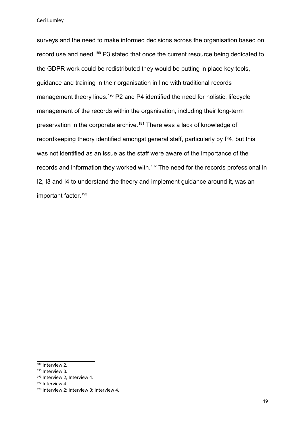surveys and the need to make informed decisions across the organisation based on record use and need.[189](#page-48-0) P3 stated that once the current resource being dedicated to the GDPR work could be redistributed they would be putting in place key tools, guidance and training in their organisation in line with traditional records management theory lines.<sup>[190](#page-48-1)</sup> P2 and P4 identified the need for holistic, lifecycle management of the records within the organisation, including their long-term preservation in the corporate archive.<sup>[191](#page-48-2)</sup> There was a lack of knowledge of recordkeeping theory identified amongst general staff, particularly by P4, but this was not identified as an issue as the staff were aware of the importance of the records and information they worked with.<sup>[192](#page-48-3)</sup> The need for the records professional in I2, I3 and I4 to understand the theory and implement guidance around it, was an important factor.<sup>[193](#page-48-4)</sup>

<span id="page-48-0"></span> $189$  Interview 2.

<span id="page-48-1"></span><sup>&</sup>lt;sup>190</sup> Interview 3.

<span id="page-48-2"></span><sup>&</sup>lt;sup>191</sup> Interview 2; Interview 4.

<span id="page-48-3"></span><sup>192</sup> Interview 4.

<span id="page-48-4"></span><sup>193</sup> Interview 2; Interview 3; Interview 4.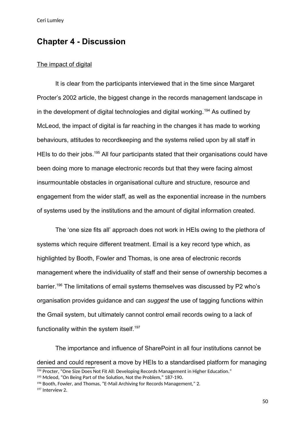# **Chapter 4 - Discussion**

### The impact of digital

It is clear from the participants interviewed that in the time since Margaret Procter's 2002 article, the biggest change in the records management landscape in in the development of digital technologies and digital working.[194](#page-49-0) As outlined by McLeod, the impact of digital is far reaching in the changes it has made to working behaviours, attitudes to recordkeeping and the systems relied upon by all staff in HEIs to do their jobs.<sup>[195](#page-49-1)</sup> All four participants stated that their organisations could have been doing more to manage electronic records but that they were facing almost insurmountable obstacles in organisational culture and structure, resource and engagement from the wider staff, as well as the exponential increase in the numbers of systems used by the institutions and the amount of digital information created.

The 'one size fits all' approach does not work in HEIs owing to the plethora of systems which require different treatment. Email is a key record type which, as highlighted by Booth, Fowler and Thomas, is one area of electronic records management where the individuality of staff and their sense of ownership becomes a barrier.[196](#page-49-2) The limitations of email systems themselves was discussed by P2 who's organisation provides guidance and can *suggest* the use of tagging functions within the Gmail system, but ultimately cannot control email records owing to a lack of functionality within the system itself.<sup>[197](#page-49-3)</sup>

The importance and influence of SharePoint in all four institutions cannot be denied and could represent a move by HEIs to a standardised platform for managing

<span id="page-49-0"></span><sup>194</sup> Procter, "One Size Does Not Fit All: Developing Records Management in Higher Education."

<span id="page-49-1"></span><sup>195</sup> Mcleod, "On Being Part of the Solution, Not the Problem," 187-190.

<span id="page-49-2"></span><sup>196</sup> Booth, Fowler, and Thomas, "E-Mail Archiving for Records Management," 2.

<span id="page-49-3"></span><sup>197</sup> Interview 2.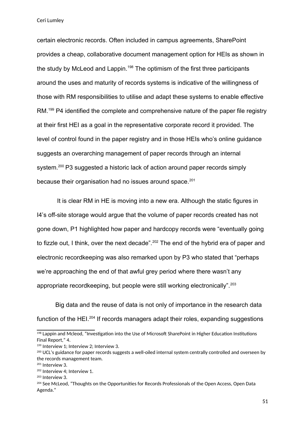certain electronic records. Often included in campus agreements, SharePoint provides a cheap, collaborative document management option for HEIs as shown in the study by McLeod and Lappin.<sup>[198](#page-50-0)</sup> The optimism of the first three participants around the uses and maturity of records systems is indicative of the willingness of those with RM responsibilities to utilise and adapt these systems to enable effective RM.<sup>[199](#page-50-1)</sup> P4 identified the complete and comprehensive nature of the paper file registry at their first HEI as a goal in the representative corporate record it provided. The level of control found in the paper registry and in those HEIs who's online guidance suggests an overarching management of paper records through an internal system.<sup>[200](#page-50-2)</sup> P3 suggested a historic lack of action around paper records simply because their organisation had no issues around space.<sup>[201](#page-50-3)</sup>

 It is clear RM in HE is moving into a new era. Although the static figures in I4's off-site storage would argue that the volume of paper records created has not gone down, P1 highlighted how paper and hardcopy records were "eventually going to fizzle out, I think, over the next decade".<sup>[202](#page-50-4)</sup> The end of the hybrid era of paper and electronic recordkeeping was also remarked upon by P3 who stated that "perhaps we're approaching the end of that awful grey period where there wasn't any appropriate recordkeeping, but people were still working electronically".<sup>[203](#page-50-5)</sup>

Big data and the reuse of data is not only of importance in the research data function of the HEI.<sup>[204](#page-50-6)</sup> If records managers adapt their roles, expanding suggestions

<span id="page-50-1"></span><sup>199</sup> Interview 1; Interview 2; Interview 3.

<span id="page-50-0"></span> $\frac{198}{198}$  Lappin and Mcleod, "Investigation into the Use of Microsoft SharePoint in Higher Education Institutions Final Report," 4.

<span id="page-50-2"></span><sup>200</sup> UCL's guidance for paper records suggests a well-oiled internal system centrally controlled and overseen by the records management team.

<span id="page-50-3"></span><sup>201</sup> Interview 3.

<span id="page-50-4"></span><sup>202</sup> Interview 4; Interview 1.

<span id="page-50-5"></span><sup>203</sup> Interview 3.

<span id="page-50-6"></span><sup>&</sup>lt;sup>204</sup> See McLeod, "Thoughts on the Opportunities for Records Professionals of the Open Access, Open Data Agenda."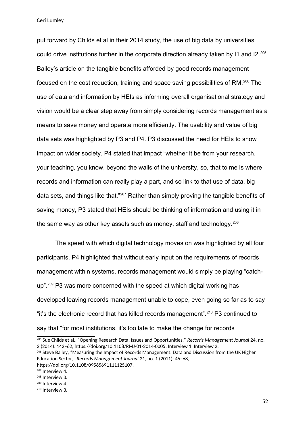put forward by Childs et al in their 2014 study, the use of big data by universities could drive institutions further in the corporate direction already taken by I1 and I2.[205](#page-51-0) Bailey's article on the tangible benefits afforded by good records management focused on the cost reduction, training and space saving possibilities of RM.<sup>[206](#page-51-1)</sup> The use of data and information by HEIs as informing overall organisational strategy and vision would be a clear step away from simply considering records management as a means to save money and operate more efficiently. The usability and value of big data sets was highlighted by P3 and P4. P3 discussed the need for HEIs to show impact on wider society. P4 stated that impact "whether it be from your research, your teaching, you know, beyond the walls of the university, so, that to me is where records and information can really play a part, and so link to that use of data, big data sets, and things like that."<sup>[207](#page-51-2)</sup> Rather than simply proving the tangible benefits of saving money, P3 stated that HEIs should be thinking of information and using it in the same way as other key assets such as money, staff and technology.<sup>[208](#page-51-3)</sup>

The speed with which digital technology moves on was highlighted by all four participants. P4 highlighted that without early input on the requirements of records management within systems, records management would simply be playing "catch-up"<sup>[209](#page-51-4)</sup> P3 was more concerned with the speed at which digital working has developed leaving records management unable to cope, even going so far as to say "it's the electronic record that has killed records management".[210](#page-51-5) P3 continued to say that "for most institutions, it's too late to make the change for records

<span id="page-51-0"></span><sup>205</sup> Sue Childs et al., "Opening Research Data: Issues and Opportunities," *Records Management Journal* 24, no. 2 (2014): 142–62, https://doi.org/10.1108/RMJ-01-2014-0005; Interview 1; Interview 2.

<span id="page-51-1"></span><sup>206</sup> Steve Bailey, "Measuring the Impact of Records Management: Data and Discussion from the UK Higher Education Sector," *Records Management Journal* 21, no. 1 (2011): 46–68, https://doi.org/10.1108/09565691111125107.

<span id="page-51-2"></span><sup>207</sup> Interview 4.

<span id="page-51-3"></span><sup>208</sup> Interview 3.

<span id="page-51-4"></span><sup>209</sup> Interview 4.

<span id="page-51-5"></span><sup>210</sup> Interview 3.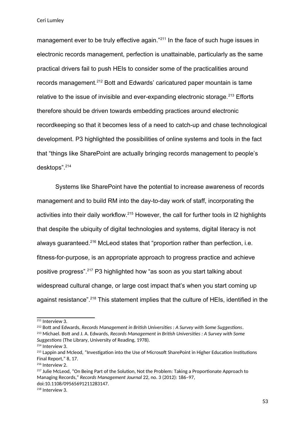management ever to be truly effective again."<sup>[211](#page-52-0)</sup> In the face of such huge issues in electronic records management, perfection is unattainable, particularly as the same practical drivers fail to push HEIs to consider some of the practicalities around records management.[212](#page-52-1) Bott and Edwards' caricatured paper mountain is tame relative to the issue of invisible and ever-expanding electronic storage.<sup>[213](#page-52-2)</sup> Efforts therefore should be driven towards embedding practices around electronic recordkeeping so that it becomes less of a need to catch-up and chase technological development. P3 highlighted the possibilities of online systems and tools in the fact that "things like SharePoint are actually bringing records management to people's desktops".[214](#page-52-3)

Systems like SharePoint have the potential to increase awareness of records management and to build RM into the day-to-day work of staff, incorporating the activities into their daily workflow.<sup>[215](#page-52-4)</sup> However, the call for further tools in I2 highlights that despite the ubiquity of digital technologies and systems, digital literacy is not always guaranteed.<sup>[216](#page-52-5)</sup> McLeod states that "proportion rather than perfection, i.e. fitness-for-purpose, is an appropriate approach to progress practice and achieve positive progress".[217](#page-52-6) P3 highlighted how "as soon as you start talking about widespread cultural change, or large cost impact that's when you start coming up against resistance".<sup>[218](#page-52-7)</sup> This statement implies that the culture of HEIs, identified in the

<span id="page-52-0"></span><sup>&</sup>lt;sup>211</sup> Interview 3.

<span id="page-52-2"></span><span id="page-52-1"></span><sup>212</sup> Bott and Edwards, *Records Management in British Universities : A Survey with Some Suggestions*. <sup>213</sup> Michael. Bott and J. A. Edwards, *Records Management in British Universities : A Survey with Some Suggestions* (The Library, University of Reading, 1978).

<span id="page-52-3"></span><sup>214</sup> Interview 3.

<span id="page-52-4"></span><sup>&</sup>lt;sup>215</sup> Lappin and Mcleod, "Investigation into the Use of Microsoft SharePoint in Higher Education Institutions Final Report," 8, 17.

<span id="page-52-5"></span><sup>216</sup> Interview 2.

<span id="page-52-6"></span><sup>&</sup>lt;sup>217</sup> Julie McLeod, "On Being Part of the Solution, Not the Problem: Taking a Proportionate Approach to Managing Records," *Records Management Journal* 22, no. 3 (2012): 186–97, doi:10.1108/09565691211283147.

<span id="page-52-7"></span><sup>218</sup> Interview 3.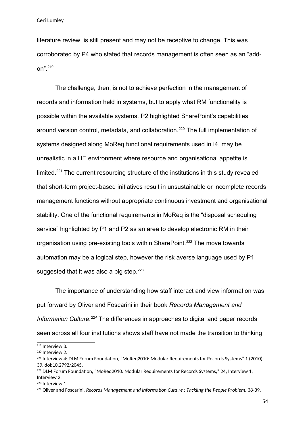literature review, is still present and may not be receptive to change. This was corroborated by P4 who stated that records management is often seen as an "addon".[219](#page-53-0)

The challenge, then, is not to achieve perfection in the management of records and information held in systems, but to apply what RM functionality is possible within the available systems. P2 highlighted SharePoint's capabilities around version control, metadata, and collaboration.<sup>[220](#page-53-1)</sup> The full implementation of systems designed along MoReq functional requirements used in I4, may be unrealistic in a HE environment where resource and organisational appetite is limited.<sup>[221](#page-53-2)</sup> The current resourcing structure of the institutions in this study revealed that short-term project-based initiatives result in unsustainable or incomplete records management functions without appropriate continuous investment and organisational stability. One of the functional requirements in MoReq is the "disposal scheduling service" highlighted by P1 and P2 as an area to develop electronic RM in their organisation using pre-existing tools within SharePoint.<sup>[222](#page-53-3)</sup> The move towards automation may be a logical step, however the risk averse language used by P1 suggested that it was also a big step.<sup>[223](#page-53-4)</sup>

The importance of understanding how staff interact and view information was put forward by Oliver and Foscarini in their book *Records Management and Information Culture.[224](#page-53-5)* The differences in approaches to digital and paper records seen across all four institutions shows staff have not made the transition to thinking

<span id="page-53-0"></span><sup>219</sup> Interview 3.

<span id="page-53-1"></span><sup>220</sup> Interview 2.

<span id="page-53-2"></span><sup>&</sup>lt;sup>221</sup> Interview 4; DLM Forum Foundation, "MoReq2010: Modular Requirements for Records Systems" 1 (2010): 39, doi:10.2792/2045.

<span id="page-53-3"></span><sup>&</sup>lt;sup>222</sup> DLM Forum Foundation, "MoReq2010: Modular Requirements for Records Systems," 24; Interview 1; Interview 2.

<span id="page-53-4"></span><sup>223</sup> Interview 1.

<span id="page-53-5"></span><sup>&</sup>lt;sup>224</sup> Oliver and Foscarini, *Records Management and Information Culture* : Tackling the People Problem, 38-39.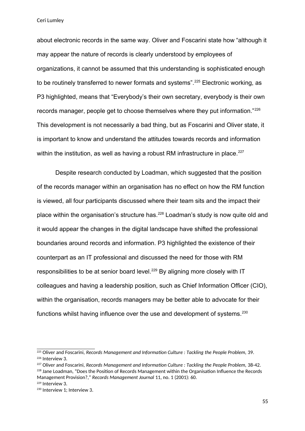about electronic records in the same way. Oliver and Foscarini state how "although it may appear the nature of records is clearly understood by employees of organizations, it cannot be assumed that this understanding is sophisticated enough to be routinely transferred to newer formats and systems".<sup>[225](#page-54-0)</sup> Electronic working, as P3 highlighted, means that "Everybody's their own secretary, everybody is their own records manager, people get to choose themselves where they put information."[226](#page-54-1) This development is not necessarily a bad thing, but as Foscarini and Oliver state, it is important to know and understand the attitudes towards records and information within the institution, as well as having a robust RM infrastructure in place.<sup>[227](#page-54-2)</sup>

Despite research conducted by Loadman, which suggested that the position of the records manager within an organisation has no effect on how the RM function is viewed, all four participants discussed where their team sits and the impact their place within the organisation's structure has.<sup>[228](#page-54-3)</sup> Loadman's study is now quite old and it would appear the changes in the digital landscape have shifted the professional boundaries around records and information. P3 highlighted the existence of their counterpart as an IT professional and discussed the need for those with RM responsibilities to be at senior board level.<sup>[229](#page-54-4)</sup> By aligning more closely with IT colleagues and having a leadership position, such as Chief Information Officer (CIO), within the organisation, records managers may be better able to advocate for their functions whilst having influence over the use and development of systems.<sup>[230](#page-54-5)</sup>

<span id="page-54-4"></span><sup>229</sup> Interview 3.

<span id="page-54-0"></span><sup>&</sup>lt;sup>225</sup> Oliver and Foscarini, *Records Management and Information Culture*: Tackling the People Problem, 39. <sup>226</sup> Interview 3.

<span id="page-54-2"></span><span id="page-54-1"></span><sup>&</sup>lt;sup>227</sup> Oliver and Foscarini, *Records Management and Information Culture* : Tackling the People Problem, 38-42.

<span id="page-54-3"></span><sup>&</sup>lt;sup>228</sup> Jane Loadman, "Does the Position of Records Management within the Organisation Influence the Records Management Provision?," *Records Management Journal* 11, no. 1 (2001): 60.

<span id="page-54-5"></span><sup>230</sup> Interview 1; Interview 3.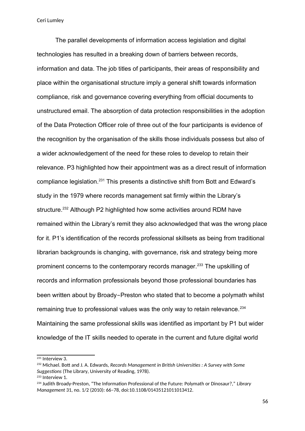The parallel developments of information access legislation and digital technologies has resulted in a breaking down of barriers between records, information and data. The job titles of participants, their areas of responsibility and place within the organisational structure imply a general shift towards information compliance, risk and governance covering everything from official documents to unstructured email. The absorption of data protection responsibilities in the adoption of the Data Protection Officer role of three out of the four participants is evidence of the recognition by the organisation of the skills those individuals possess but also of a wider acknowledgement of the need for these roles to develop to retain their relevance. P3 highlighted how their appointment was as a direct result of information compliance legislation.[231](#page-55-0) This presents a distinctive shift from Bott and Edward's study in the 1979 where records management sat firmly within the Library's structure.<sup>[232](#page-55-1)</sup> Although P2 highlighted how some activities around RDM have remained within the Library's remit they also acknowledged that was the wrong place for it. P1's identification of the records professional skillsets as being from traditional librarian backgrounds is changing, with governance, risk and strategy being more prominent concerns to the contemporary records manager.<sup>[233](#page-55-2)</sup> The upskilling of records and information professionals beyond those professional boundaries has been written about by Broady–Preston who stated that to become a polymath whilst remaining true to professional values was the only way to retain relevance.<sup>[234](#page-55-3)</sup> Maintaining the same professional skills was identified as important by P1 but wider knowledge of the IT skills needed to operate in the current and future digital world

<span id="page-55-0"></span><sup>&</sup>lt;sup>231</sup> Interview 3.

<span id="page-55-1"></span><sup>232</sup> Michael. Bott and J. A. Edwards, *Records Management in British Universities : A Survey with Some Suggestions* (The Library, University of Reading, 1978). <sup>233</sup> Interview 1.

<span id="page-55-3"></span><span id="page-55-2"></span><sup>234</sup> Judith Broady-Preston, "The Information Professional of the Future: Polymath or Dinosaur?," *Library Management* 31, no. 1/2 (2010): 66–78, doi:10.1108/01435121011013412.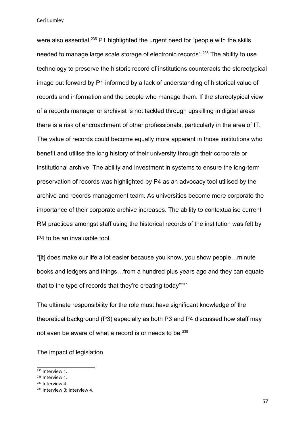were also essential.<sup>[235](#page-56-0)</sup> P1 highlighted the urgent need for "people with the skills needed to manage large scale storage of electronic records".<sup>[236](#page-56-1)</sup> The ability to use technology to preserve the historic record of institutions counteracts the stereotypical image put forward by P1 informed by a lack of understanding of historical value of records and information and the people who manage them. If the stereotypical view of a records manager or archivist is not tackled through upskilling in digital areas there is a risk of encroachment of other professionals, particularly in the area of IT. The value of records could become equally more apparent in those institutions who benefit and utilise the long history of their university through their corporate or institutional archive. The ability and investment in systems to ensure the long-term preservation of records was highlighted by P4 as an advocacy tool utilised by the archive and records management team. As universities become more corporate the importance of their corporate archive increases. The ability to contextualise current RM practices amongst staff using the historical records of the institution was felt by P4 to be an invaluable tool.

"[it] does make our life a lot easier because you know, you show people…minute books and ledgers and things…from a hundred plus years ago and they can equate that to the type of records that they're creating today" $237$ 

The ultimate responsibility for the role must have significant knowledge of the theoretical background (P3) especially as both P3 and P4 discussed how staff may not even be aware of what a record is or needs to be.<sup>[238](#page-56-3)</sup>

## The impact of legislation

<span id="page-56-0"></span><sup>&</sup>lt;sup>235</sup> Interview 1.

<span id="page-56-1"></span><sup>236</sup> Interview 1.

<span id="page-56-2"></span><sup>237</sup> Interview 4.

<span id="page-56-3"></span><sup>238</sup> Interview 3; Interview 4.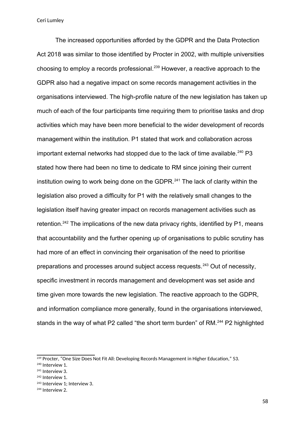The increased opportunities afforded by the GDPR and the Data Protection Act 2018 was similar to those identified by Procter in 2002, with multiple universities choosing to employ a records professional.<sup>[239](#page-57-0)</sup> However, a reactive approach to the GDPR also had a negative impact on some records management activities in the organisations interviewed. The high-profile nature of the new legislation has taken up much of each of the four participants time requiring them to prioritise tasks and drop activities which may have been more beneficial to the wider development of records management within the institution. P1 stated that work and collaboration across important external networks had stopped due to the lack of time available.<sup>[240](#page-57-1)</sup> P3 stated how there had been no time to dedicate to RM since joining their current institution owing to work being done on the GDPR.<sup>[241](#page-57-2)</sup> The lack of clarity within the legislation also proved a difficulty for P1 with the relatively small changes to the legislation itself having greater impact on records management activities such as retention.<sup>[242](#page-57-3)</sup> The implications of the new data privacy rights, identified by P1, means that accountability and the further opening up of organisations to public scrutiny has had more of an effect in convincing their organisation of the need to prioritise preparations and processes around subject access requests.[243](#page-57-4) Out of necessity, specific investment in records management and development was set aside and time given more towards the new legislation. The reactive approach to the GDPR, and information compliance more generally, found in the organisations interviewed, stands in the way of what P2 called "the short term burden" of RM.<sup>[244](#page-57-5)</sup> P2 highlighted

<span id="page-57-0"></span><sup>&</sup>lt;sup>239</sup> Procter, "One Size Does Not Fit All: Developing Records Management in Higher Education," 53.

<span id="page-57-1"></span><sup>240</sup> Interview 1.

<span id="page-57-2"></span><sup>&</sup>lt;sup>241</sup> Interview 3.

<span id="page-57-3"></span><sup>242</sup> Interview 1.

<span id="page-57-4"></span><sup>243</sup> Interview 1; Interview 3.

<span id="page-57-5"></span><sup>&</sup>lt;sup>244</sup> Interview 2.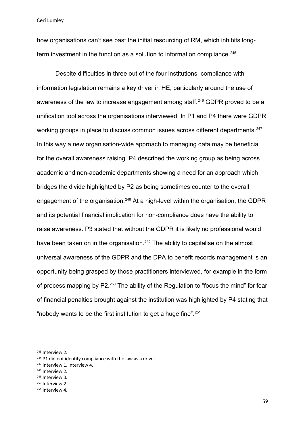how organisations can't see past the initial resourcing of RM, which inhibits long-term investment in the function as a solution to information compliance.<sup>[245](#page-58-0)</sup>

Despite difficulties in three out of the four institutions, compliance with information legislation remains a key driver in HE, particularly around the use of awareness of the law to increase engagement among staff.<sup>[246](#page-58-1)</sup> GDPR proved to be a unification tool across the organisations interviewed. In P1 and P4 there were GDPR working groups in place to discuss common issues across different departments.<sup>[247](#page-58-2)</sup> In this way a new organisation-wide approach to managing data may be beneficial for the overall awareness raising. P4 described the working group as being across academic and non-academic departments showing a need for an approach which bridges the divide highlighted by P2 as being sometimes counter to the overall engagement of the organisation.<sup>[248](#page-58-3)</sup> At a high-level within the organisation, the GDPR and its potential financial implication for non-compliance does have the ability to raise awareness. P3 stated that without the GDPR it is likely no professional would have been taken on in the organisation.<sup>[249](#page-58-4)</sup> The ability to capitalise on the almost universal awareness of the GDPR and the DPA to benefit records management is an opportunity being grasped by those practitioners interviewed, for example in the form of process mapping by P2.<sup>[250](#page-58-5)</sup> The ability of the Regulation to "focus the mind" for fear of financial penalties brought against the institution was highlighted by P4 stating that "nobody wants to be the first institution to get a huge fine". $251$ 

<span id="page-58-0"></span><sup>245</sup> Interview 2.

<span id="page-58-1"></span><sup>&</sup>lt;sup>246</sup> P1 did not identify compliance with the law as a driver.

<span id="page-58-2"></span><sup>&</sup>lt;sup>247</sup> Interview 1, Interview 4.

<span id="page-58-3"></span><sup>248</sup> Interview 2.

<span id="page-58-4"></span><sup>249</sup> Interview 3.

<span id="page-58-5"></span><sup>250</sup> Interview 2.

<span id="page-58-6"></span><sup>251</sup> Interview 4.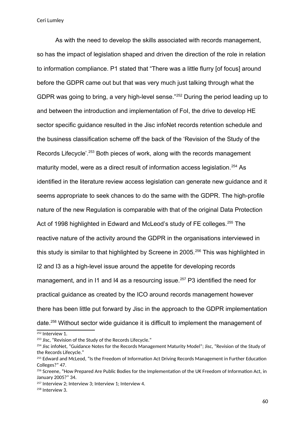As with the need to develop the skills associated with records management, so has the impact of legislation shaped and driven the direction of the role in relation to information compliance. P1 stated that "There was a little flurry [of focus] around before the GDPR came out but that was very much just talking through what the GDPR was going to bring, a very high-level sense."[252](#page-59-0) During the period leading up to and between the introduction and implementation of FoI, the drive to develop HE sector specific guidance resulted in the Jisc infoNet records retention schedule and the business classification scheme off the back of the 'Revision of the Study of the Records Lifecycle'.[253](#page-59-1) Both pieces of work, along with the records management maturity model, were as a direct result of information access legislation.<sup>[254](#page-59-2)</sup> As identified in the literature review access legislation can generate new guidance and it seems appropriate to seek chances to do the same with the GDPR. The high-profile nature of the new Regulation is comparable with that of the original Data Protection Act of 1998 highlighted in Edward and McLeod's study of FE colleges.<sup>[255](#page-59-3)</sup> The reactive nature of the activity around the GDPR in the organisations interviewed in this study is similar to that highlighted by Screene in 2005.<sup>[256](#page-59-4)</sup> This was highlighted in I2 and I3 as a high-level issue around the appetite for developing records management, and in I1 and I4 as a resourcing issue.<sup>[257](#page-59-5)</sup> P3 identified the need for practical guidance as created by the ICO around records management however there has been little put forward by Jisc in the approach to the GDPR implementation date.[258](#page-59-6) Without sector wide guidance it is difficult to implement the management of

<span id="page-59-0"></span> $252$  Interview 1.

<span id="page-59-1"></span><sup>253</sup> Jisc, "Revision of the Study of the Records Lifecycle."

<span id="page-59-2"></span><sup>254</sup> Jisc infoNet, "Guidance Notes for the Records Management Maturity Model"; Jisc, "Revision of the Study of the Records Lifecycle."

<span id="page-59-3"></span><sup>&</sup>lt;sup>255</sup> Edward and McLeod, "Is the Freedom of Information Act Driving Records Management in Further Education Colleges?" 47.

<span id="page-59-4"></span><sup>&</sup>lt;sup>256</sup> Screene, "How Prepared Are Public Bodies for the Implementation of the UK Freedom of Information Act, in January 2005?" 34.

<span id="page-59-5"></span><sup>&</sup>lt;sup>257</sup> Interview 2; Interview 3; Interview 1; Interview 4.

<span id="page-59-6"></span><sup>258</sup> Interview 3.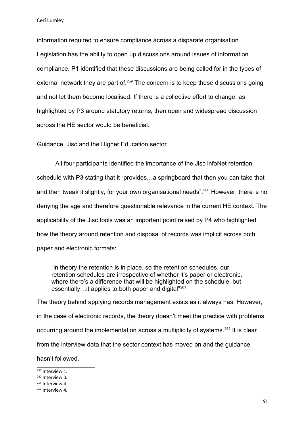information required to ensure compliance across a disparate organisation. Legislation has the ability to open up discussions around issues of information compliance. P1 identified that these discussions are being called for in the types of external network they are part of.<sup>[259](#page-60-0)</sup> The concern is to keep these discussions going and not let them become localised. If there is a collective effort to change, as highlighted by P3 around statutory returns, then open and widespread discussion across the HE sector would be beneficial.

#### Guidance, Jisc and the Higher Education sector

All four participants identified the importance of the Jisc infoNet retention schedule with P3 stating that it "provides…a springboard that then you can take that and then tweak it slightly, for your own organisational needs".<sup>[260](#page-60-1)</sup> However, there is no denying the age and therefore questionable relevance in the current HE context. The applicability of the Jisc tools was an important point raised by P4 who highlighted how the theory around retention and disposal of records was implicit across both paper and electronic formats:

"in theory the retention is in place, so the retention schedules, our retention schedules are irrespective of whether it's paper or electronic, where there's a difference that will be highlighted on the schedule, but essentially... it applies to both paper and digital"<sup>[261](#page-60-2)</sup>

The theory behind applying records management exists as it always has. However, in the case of electronic records, the theory doesn't meet the practice with problems occurring around the implementation across a multiplicity of systems.<sup>[262](#page-60-3)</sup> It is clear from the interview data that the sector context has moved on and the guidance

#### hasn't followed.

<span id="page-60-0"></span><sup>&</sup>lt;sup>259</sup> Interview 1.

<span id="page-60-1"></span><sup>260</sup> Interview 3.

<span id="page-60-2"></span><sup>261</sup> Interview 4.

<span id="page-60-3"></span><sup>262</sup> Interview 4.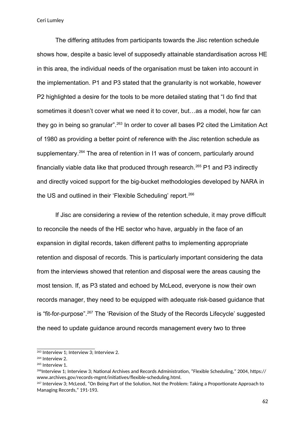The differing attitudes from participants towards the Jisc retention schedule shows how, despite a basic level of supposedly attainable standardisation across HE in this area, the individual needs of the organisation must be taken into account in the implementation. P1 and P3 stated that the granularity is not workable, however P2 highlighted a desire for the tools to be more detailed stating that "I do find that sometimes it doesn't cover what we need it to cover, but…as a model, how far can they go in being so granular".[263](#page-61-0) In order to cover all bases P2 cited the Limitation Act of 1980 as providing a better point of reference with the Jisc retention schedule as supplementary.<sup>[264](#page-61-1)</sup> The area of retention in I1 was of concern, particularly around financially viable data like that produced through research.<sup>[265](#page-61-2)</sup> P1 and P3 indirectly and directly voiced support for the big-bucket methodologies developed by NARA in the US and outlined in their 'Flexible Scheduling' report.<sup>[266](#page-61-3)</sup>

If Jisc are considering a review of the retention schedule, it may prove difficult to reconcile the needs of the HE sector who have, arguably in the face of an expansion in digital records, taken different paths to implementing appropriate retention and disposal of records. This is particularly important considering the data from the interviews showed that retention and disposal were the areas causing the most tension. If, as P3 stated and echoed by McLeod, everyone is now their own records manager, they need to be equipped with adequate risk-based guidance that is "fit-for-purpose".<sup>[267](#page-61-4)</sup> The 'Revision of the Study of the Records Lifecycle' suggested the need to update guidance around records management every two to three

<span id="page-61-0"></span><sup>&</sup>lt;sup>263</sup> Interview 1; Interview 3; Interview 2.

<span id="page-61-1"></span><sup>264</sup> Interview 2.

<span id="page-61-2"></span><sup>&</sup>lt;sup>265</sup> Interview 1.

<span id="page-61-3"></span><sup>&</sup>lt;sup>266</sup>Interview 1; Interview 3; National Archives and Records Administration, "Flexible Scheduling," 2004, https:// www.archives.gov/records-mgmt/initiatives/flexible-scheduling.html.

<span id="page-61-4"></span><sup>&</sup>lt;sup>267</sup> Interview 3; McLeod, "On Being Part of the Solution, Not the Problem: Taking a Proportionate Approach to Managing Records," 191-193.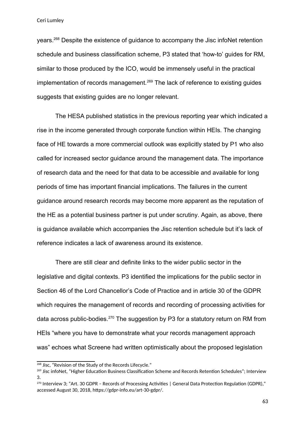years.[268](#page-62-0) Despite the existence of guidance to accompany the Jisc infoNet retention schedule and business classification scheme, P3 stated that 'how-to' guides for RM, similar to those produced by the ICO, would be immensely useful in the practical implementation of records management.<sup>[269](#page-62-1)</sup> The lack of reference to existing guides suggests that existing guides are no longer relevant.

The HESA published statistics in the previous reporting year which indicated a rise in the income generated through corporate function within HEIs. The changing face of HE towards a more commercial outlook was explicitly stated by P1 who also called for increased sector guidance around the management data. The importance of research data and the need for that data to be accessible and available for long periods of time has important financial implications. The failures in the current guidance around research records may become more apparent as the reputation of the HE as a potential business partner is put under scrutiny. Again, as above, there is guidance available which accompanies the Jisc retention schedule but it's lack of reference indicates a lack of awareness around its existence.

There are still clear and definite links to the wider public sector in the legislative and digital contexts. P3 identified the implications for the public sector in Section 46 of the Lord Chancellor's Code of Practice and in article 30 of the GDPR which requires the management of records and recording of processing activities for data across public-bodies.<sup>[270](#page-62-2)</sup> The suggestion by P3 for a statutory return on RM from HEIs "where you have to demonstrate what your records management approach was" echoes what Screene had written optimistically about the proposed legislation

<span id="page-62-0"></span> $268$  Jisc, "Revision of the Study of the Records Lifecycle."

<span id="page-62-1"></span><sup>&</sup>lt;sup>269</sup> Jisc infoNet, "Higher Education Business Classification Scheme and Records Retention Schedules"; Interview 3.

<span id="page-62-2"></span><sup>&</sup>lt;sup>270</sup> Interview 3; "Art. 30 GDPR - Records of Processing Activities | General Data Protection Regulation (GDPR)," accessed August 30, 2018, https://gdpr-info.eu/art-30-gdpr/.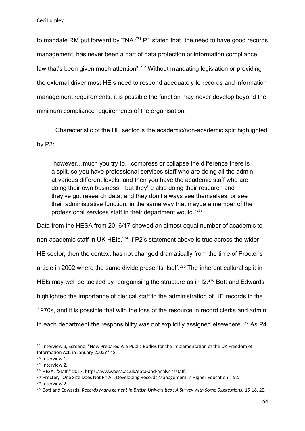to mandate RM put forward by TNA.<sup>[271](#page-63-0)</sup> P1 stated that "the need to have good records management, has never been a part of data protection or information compliance law that's been given much attention".<sup>[272](#page-63-1)</sup> Without mandating legislation or providing the external driver most HEIs need to respond adequately to records and information management requirements, it is possible the function may never develop beyond the minimum compliance requirements of the organisation.

Characteristic of the HE sector is the academic/non-academic split highlighted by P2:

"however…much you try to…compress or collapse the difference there is a split, so you have professional services staff who are doing all the admin at various different levels, and then you have the academic staff who are doing their own business…but they're also doing their research and they've got research data, and they don't always see themselves, or see their administrative function, in the same way that maybe a member of the professional services staff in their department would."[273](#page-63-2)

Data from the HESA from 2016/17 showed an almost equal number of academic to non-academic staff in UK HEIs.<sup>[274](#page-63-3)</sup> If P2's statement above is true across the wider HE sector, then the context has not changed dramatically from the time of Procter's article in 2002 where the same divide presents itself.<sup>[275](#page-63-4)</sup> The inherent cultural split in HEIs may well be tackled by reorganising the structure as in I2.<sup>[276](#page-63-5)</sup> Bott and Edwards highlighted the importance of clerical staff to the administration of HE records in the 1970s, and it is possible that with the loss of the resource in record clerks and admin in each department the responsibility was not explicitly assigned elsewhere.<sup>[277](#page-63-6)</sup> As P4

<span id="page-63-0"></span><sup>&</sup>lt;sup>271</sup> Interview 3; Screene, "How Prepared Are Public Bodies for the Implementation of the UK Freedom of Information Act, in January 2005?" 42.

<span id="page-63-1"></span><sup>272</sup> Interview 1.

<span id="page-63-2"></span><sup>273</sup> Interview 2.

<span id="page-63-3"></span><sup>274</sup> HESA, "Staff," 2017, https://www.hesa.ac.uk/data-and-analysis/staff.

<span id="page-63-4"></span><sup>&</sup>lt;sup>275</sup> Procter, "One Size Does Not Fit All: Developing Records Management in Higher Education," 52.

<span id="page-63-5"></span><sup>276</sup> Interview 2.

<span id="page-63-6"></span><sup>&</sup>lt;sup>277</sup> Bott and Edwards, *Records Management in British Universities* : A Survey with Some Suggestions, 15-16, 22.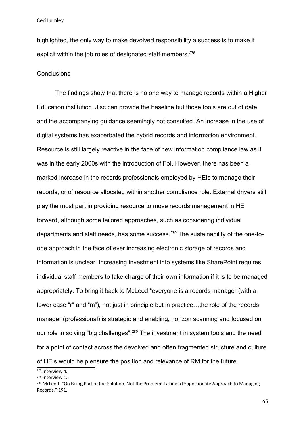highlighted, the only way to make devolved responsibility a success is to make it explicit within the job roles of designated staff members.<sup>[278](#page-64-0)</sup>

#### **Conclusions**

The findings show that there is no one way to manage records within a Higher Education institution. Jisc can provide the baseline but those tools are out of date and the accompanying guidance seemingly not consulted. An increase in the use of digital systems has exacerbated the hybrid records and information environment. Resource is still largely reactive in the face of new information compliance law as it was in the early 2000s with the introduction of FoI. However, there has been a marked increase in the records professionals employed by HEIs to manage their records, or of resource allocated within another compliance role. External drivers still play the most part in providing resource to move records management in HE forward, although some tailored approaches, such as considering individual departments and staff needs, has some success.<sup>[279](#page-64-1)</sup> The sustainability of the one-toone approach in the face of ever increasing electronic storage of records and information is unclear. Increasing investment into systems like SharePoint requires individual staff members to take charge of their own information if it is to be managed appropriately. To bring it back to McLeod "everyone is a records manager (with a lower case "r" and "m"), not just in principle but in practice…the role of the records manager (professional) is strategic and enabling, horizon scanning and focused on our role in solving "big challenges".<sup>[280](#page-64-2)</sup> The investment in system tools and the need for a point of contact across the devolved and often fragmented structure and culture of HEIs would help ensure the position and relevance of RM for the future.

<span id="page-64-0"></span><sup>278</sup> Interview 4.

<span id="page-64-1"></span><sup>279</sup> Interview 1.

<span id="page-64-2"></span><sup>&</sup>lt;sup>280</sup> McLeod, "On Being Part of the Solution, Not the Problem: Taking a Proportionate Approach to Managing Records," 191.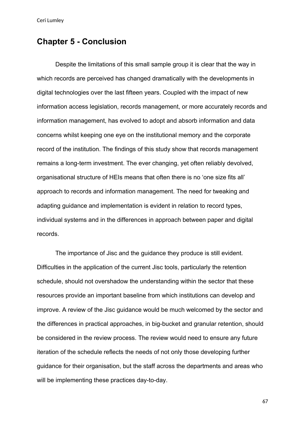## **Chapter 5 - Conclusion**

Despite the limitations of this small sample group it is clear that the way in which records are perceived has changed dramatically with the developments in digital technologies over the last fifteen years. Coupled with the impact of new information access legislation, records management, or more accurately records and information management, has evolved to adopt and absorb information and data concerns whilst keeping one eye on the institutional memory and the corporate record of the institution. The findings of this study show that records management remains a long-term investment. The ever changing, yet often reliably devolved, organisational structure of HEIs means that often there is no 'one size fits all' approach to records and information management. The need for tweaking and adapting guidance and implementation is evident in relation to record types, individual systems and in the differences in approach between paper and digital records.

The importance of Jisc and the guidance they produce is still evident. Difficulties in the application of the current Jisc tools, particularly the retention schedule, should not overshadow the understanding within the sector that these resources provide an important baseline from which institutions can develop and improve. A review of the Jisc guidance would be much welcomed by the sector and the differences in practical approaches, in big-bucket and granular retention, should be considered in the review process. The review would need to ensure any future iteration of the schedule reflects the needs of not only those developing further guidance for their organisation, but the staff across the departments and areas who will be implementing these practices day-to-day.

67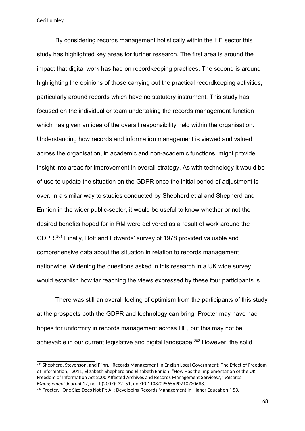By considering records management holistically within the HE sector this study has highlighted key areas for further research. The first area is around the impact that digital work has had on recordkeeping practices. The second is around highlighting the opinions of those carrying out the practical recordkeeping activities, particularly around records which have no statutory instrument. This study has focused on the individual or team undertaking the records management function which has given an idea of the overall responsibility held within the organisation. Understanding how records and information management is viewed and valued across the organisation, in academic and non-academic functions, might provide insight into areas for improvement in overall strategy. As with technology it would be of use to update the situation on the GDPR once the initial period of adjustment is over. In a similar way to studies conducted by Shepherd et al and Shepherd and Ennion in the wider public-sector, it would be useful to know whether or not the desired benefits hoped for in RM were delivered as a result of work around the GDPR.[281](#page-67-0) Finally, Bott and Edwards' survey of 1978 provided valuable and comprehensive data about the situation in relation to records management nationwide. Widening the questions asked in this research in a UK wide survey would establish how far reaching the views expressed by these four participants is.

There was still an overall feeling of optimism from the participants of this study at the prospects both the GDPR and technology can bring. Procter may have had hopes for uniformity in records management across HE, but this may not be achievable in our current legislative and digital landscape.<sup>[282](#page-67-1)</sup> However, the solid

<span id="page-67-0"></span><sup>&</sup>lt;sup>281</sup> Shepherd, Stevenson, and Flinn, "Records Management in English Local Government: The Effect of Freedom of Information," 2011; Elizabeth Shepherd and Elizabeth Ennion, "How Has the Implementation of the UK Freedom of Information Act 2000 Affected Archives and Records Management Services?," *Records Management Journal* 17, no. 1 (2007): 32–51, doi:10.1108/09565690710730688.

<span id="page-67-1"></span><sup>&</sup>lt;sup>282</sup> Procter, "One Size Does Not Fit All: Developing Records Management in Higher Education," 53.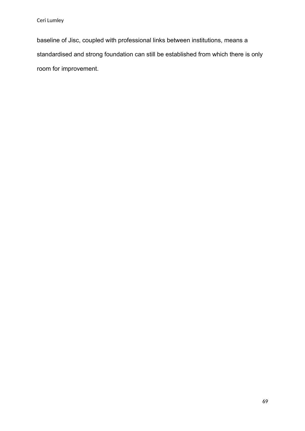baseline of Jisc, coupled with professional links between institutions, means a standardised and strong foundation can still be established from which there is only room for improvement.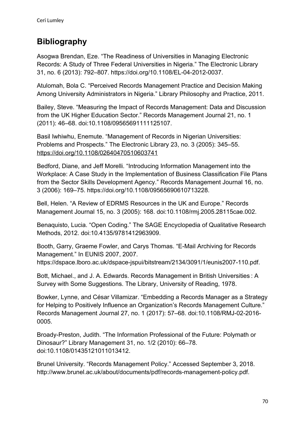# **Bibliography**

Asogwa Brendan, Eze. "The Readiness of Universities in Managing Electronic Records: A Study of Three Federal Universities in Nigeria." The Electronic Library 31, no. 6 (2013): 792–807. https://doi.org/10.1108/EL-04-2012-0037.

Atulomah, Bola C. "Perceived Records Management Practice and Decision Making Among University Administrators in Nigeria." Library Philosophy and Practice, 2011.

Bailey, Steve. "Measuring the Impact of Records Management: Data and Discussion from the UK Higher Education Sector." Records Management Journal 21, no. 1 (2011): 46–68. doi:10.1108/09565691111125107.

Basil Iwhiwhu, Enemute. "Management of Records in Nigerian Universities: Problems and Prospects." The Electronic Library 23, no. 3 (2005): 345–55. https://doi.org/10.1108/02640470510603741

Bedford, Diane, and Jeff Morelli. "Introducing Information Management into the Workplace: A Case Study in the Implementation of Business Classification File Plans from the Sector Skills Development Agency." Records Management Journal 16, no. 3 (2006): 169–75. https://doi.org/10.1108/09565690610713228.

Bell, Helen. "A Review of EDRMS Resources in the UK and Europe." Records Management Journal 15, no. 3 (2005): 168. doi:10.1108/rmj.2005.28115cae.002.

Benaquisto, Lucia. "Open Coding." The SAGE Encyclopedia of Qualitative Research Methods, 2012. doi:10.4135/9781412963909.

Booth, Garry, Graeme Fowler, and Carys Thomas. "E-Mail Archiving for Records Management." In EUNIS 2007, 2007. https://dspace.lboro.ac.uk/dspace-jspui/bitstream/2134/3091/1/eunis2007-110.pdf.

Bott, Michael., and J. A. Edwards. Records Management in British Universities : A Survey with Some Suggestions. The Library, University of Reading, 1978.

Bowker, Lynne, and César Villamizar. "Embedding a Records Manager as a Strategy for Helping to Positively Influence an Organization's Records Management Culture." Records Management Journal 27, no. 1 (2017): 57–68. doi:10.1108/RMJ-02-2016- 0005.

Broady-Preston, Judith. "The Information Professional of the Future: Polymath or Dinosaur?" Library Management 31, no. 1/2 (2010): 66–78. doi:10.1108/01435121011013412.

Brunel University. "Records Management Policy." Accessed September 3, 2018. http://www.brunel.ac.uk/about/documents/pdf/records-management-policy.pdf.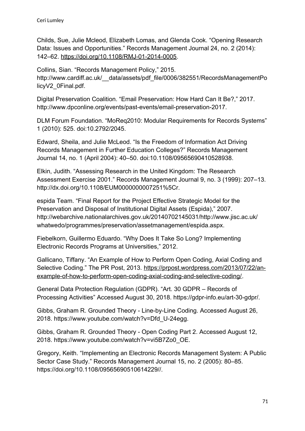Childs, Sue, Julie Mcleod, Elizabeth Lomas, and Glenda Cook. "Opening Research Data: Issues and Opportunities." Records Management Journal 24, no. 2 (2014): 142–62. https://doi.org/10.1108/RMJ-01-2014-0005.

Collins, Sian. "Records Management Policy," 2015. http://www.cardiff.ac.uk/\_\_data/assets/pdf\_file/0006/382551/RecordsManagementPo licyV2\_0Final.pdf.

Digital Preservation Coalition. "Email Preservation: How Hard Can It Be?," 2017. http://www.dpconline.org/events/past-events/email-preservation-2017.

DLM Forum Foundation. "MoReq2010: Modular Requirements for Records Systems" 1 (2010): 525. doi:10.2792/2045.

Edward, Sheila, and Julie McLeod. "Is the Freedom of Information Act Driving Records Management in Further Education Colleges?" Records Management Journal 14, no. 1 (April 2004): 40–50. doi:10.1108/09565690410528938.

Elkin, Judith. "Assessing Research in the United Kingdom: The Research Assessment Exercise 2001." Records Management Journal 9, no. 3 (1999): 207–13. http://dx.doi.org/10.1108/EUM0000000007251%5Cr.

espida Team. "Final Report for the Project Effective Strategic Model for the Preservation and Disposal of Institutional Digital Assets (Espida)," 2007. http://webarchive.nationalarchives.gov.uk/20140702145031/http://www.jisc.ac.uk/ whatwedo/programmes/preservation/assetmanagement/espida.aspx.

Fiebelkorn, Guillermo Eduardo. "Why Does It Take So Long? Implementing Electronic Records Programs at Universities," 2012.

Gallicano, Tiffany. "An Example of How to Perform Open Coding, Axial Coding and Selective Coding." The PR Post, 2013. https://prpost.wordpress.com/2013/07/22/anexample-of-how-to-perform-open-coding-axial-coding-and-selective-coding/.

General Data Protection Regulation (GDPR). "Art. 30 GDPR – Records of Processing Activities" Accessed August 30, 2018. https://gdpr-info.eu/art-30-gdpr/.

Gibbs, Graham R. Grounded Theory - Line-by-Line Coding. Accessed August 26, 2018. https://www.youtube.com/watch?v=Dfd\_U-24egg.

Gibbs, Graham R. Grounded Theory - Open Coding Part 2. Accessed August 12, 2018. https://www.youtube.com/watch?v=vi5B7Zo0\_OE.

Gregory, Keith. "Implementing an Electronic Records Management System: A Public Sector Case Study." Records Management Journal 15, no. 2 (2005): 80–85. https://doi.org/10.1108/09565690510614229//.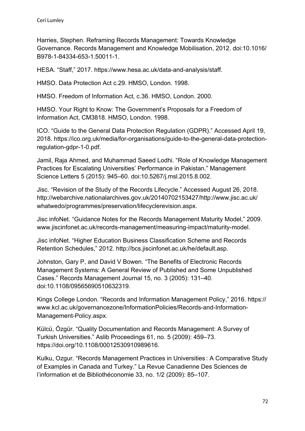Harries, Stephen. Reframing Records Management: Towards Knowledge Governance. Records Management and Knowledge Mobilisation, 2012. doi:10.1016/ B978-1-84334-653-1.50011-1.

HESA. "Staff," 2017. https://www.hesa.ac.uk/data-and-analysis/staff.

HMSO. Data Protection Act c.29. HMSO, London. 1998.

HMSO. Freedom of Information Act, c.36. HMSO, London. 2000.

HMSO. Your Right to Know: The Government's Proposals for a Freedom of Information Act, CM3818. HMSO, London. 1998.

ICO. "Guide to the General Data Protection Regulation (GDPR)." Accessed April 19, 2018. https://ico.org.uk/media/for-organisations/guide-to-the-general-data-protectionregulation-gdpr-1-0.pdf.

Jamil, Raja Ahmed, and Muhammad Saeed Lodhi. "Role of Knowledge Management Practices for Escalating Universities' Performance in Pakistan." Management Science Letters 5 (2015): 945–60. doi:10.5267/j.msl.2015.8.002.

Jisc. "Revision of the Study of the Records Lifecycle." Accessed August 26, 2018. http://webarchive.nationalarchives.gov.uk/20140702153427/http://www.jisc.ac.uk/ whatwedo/programmes/preservation/lifecyclerevision.aspx.

Jisc infoNet. "Guidance Notes for the Records Management Maturity Model," 2009. www.jiscinfonet.ac.uk/records-management/measuring-impact/maturity-model.

Jisc infoNet. "Higher Education Business Classification Scheme and Records Retention Schedules," 2012. http://bcs.jiscinfonet.ac.uk/he/default.asp.

Johnston, Gary P, and David V Bowen. "The Benefits of Electronic Records Management Systems: A General Review of Published and Some Unpublished Cases." Records Management Journal 15, no. 3 (2005): 131–40. doi:10.1108/09565690510632319.

Kings College London. "Records and Information Management Policy," 2016. https:// www.kcl.ac.uk/governancezone/InformationPolicies/Records-and-Information-Management-Policy.aspx.

Külcü, Özgür. "Quality Documentation and Records Management: A Survey of Turkish Universities." Aslib Proceedings 61, no. 5 (2009): 459–73. https://doi.org/10.1108/00012530910989616.

Kulku, Ozgur. "Records Management Practices in Universities : A Comparative Study of Examples in Canada and Turkey." La Revue Canadienne Des Sciences de l'information et de Bibliothéconomie 33, no. 1/2 (2009): 85–107.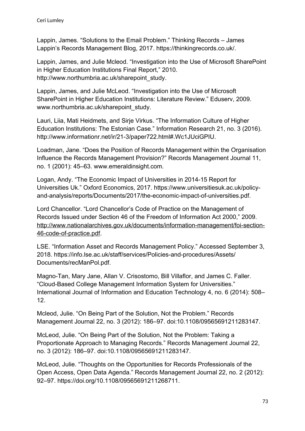Lappin, James. "Solutions to the Email Problem." Thinking Records – James Lappin's Records Management Blog, 2017. https://thinkingrecords.co.uk/.

Lappin, James, and Julie Mcleod. "Investigation into the Use of Microsoft SharePoint in Higher Education Institutions Final Report," 2010. http://www.northumbria.ac.uk/sharepoint\_study.

Lappin, James, and Julie McLeod. "Investigation into the Use of Microsoft SharePoint in Higher Education Institutions: Literature Review." Eduserv, 2009. www.northumbria.ac.uk/sharepoint\_study.

Lauri, Liia, Mati Heidmets, and Sirje Virkus. "The Information Culture of Higher Education Institutions: The Estonian Case." Information Research 21, no. 3 (2016). http://www.informationr.net/ir/21-3/paper722.html#.Wc1JUciGPIU.

Loadman, Jane. "Does the Position of Records Management within the Organisation Influence the Records Management Provision?" Records Management Journal 11, no. 1 (2001): 45–63. www.emeraldinsight.com.

Logan, Andy. "The Economic Impact of Universities in 2014-15 Report for Universities Uk." Oxford Economics, 2017. https://www.universitiesuk.ac.uk/policyand-analysis/reports/Documents/2017/the-economic-impact-of-universities.pdf.

Lord Chancellor. "Lord Chancellor's Code of Practice on the Management of Records Issued under Section 46 of the Freedom of Information Act 2000," 2009. http://www.nationalarchives.gov.uk/documents/information-management/foi-section-46-code-of-practice.pdf.

LSE. "Information Asset and Records Management Policy." Accessed September 3, 2018. https://info.lse.ac.uk/staff/services/Policies-and-procedures/Assets/ Documents/recManPol.pdf.

Magno-Tan, Mary Jane, Allan V. Crisostomo, Bill Villaflor, and James C. Faller. "Cloud-Based College Management Information System for Universities." International Journal of Information and Education Technology 4, no. 6 (2014): 508– 12.

Mcleod, Julie. "On Being Part of the Solution, Not the Problem." Records Management Journal 22, no. 3 (2012): 186–97. doi:10.1108/09565691211283147.

McLeod, Julie. "On Being Part of the Solution, Not the Problem: Taking a Proportionate Approach to Managing Records." Records Management Journal 22, no. 3 (2012): 186–97. doi:10.1108/09565691211283147.

McLeod, Julie. "Thoughts on the Opportunities for Records Professionals of the Open Access, Open Data Agenda." Records Management Journal 22, no. 2 (2012): 92–97. https://doi.org/10.1108/09565691211268711.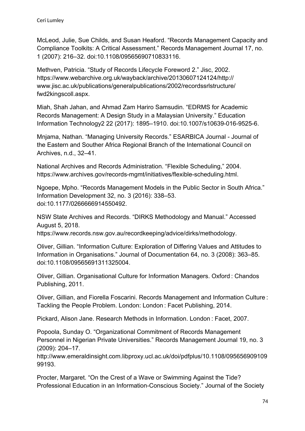McLeod, Julie, Sue Childs, and Susan Heaford. "Records Management Capacity and Compliance Toolkits: A Critical Assessment." Records Management Journal 17, no. 1 (2007): 216–32. doi:10.1108/09565690710833116.

Methven, Patricia. "Study of Records Lifecycle Foreword 2." Jisc, 2002. https://www.webarchive.org.uk/wayback/archive/20130607124124/http:// www.jisc.ac.uk/publications/generalpublications/2002/recordssrlstructure/ fwd2kingscoll.aspx.

Miah, Shah Jahan, and Ahmad Zam Hariro Samsudin. "EDRMS for Academic Records Management: A Design Study in a Malaysian University." Education Information Technology2 22 (2017): 1895–1910. doi:10.1007/s10639-016-9525-6.

Mnjama, Nathan. "Managing University Records." ESARBICA Journal - Journal of the Eastern and Souther Africa Regional Branch of the International Council on Archives, n.d., 32–41.

National Archives and Records Administration. "Flexible Scheduling," 2004. https://www.archives.gov/records-mgmt/initiatives/flexible-scheduling.html.

Ngoepe, Mpho. "Records Management Models in the Public Sector in South Africa." Information Development 32, no. 3 (2016): 338–53. doi:10.1177/0266666914550492.

NSW State Archives and Records. "DIRKS Methodology and Manual." Accessed August 5, 2018.

https://www.records.nsw.gov.au/recordkeeping/advice/dirks/methodology.

Oliver, Gillian. "Information Culture: Exploration of Differing Values and Attitudes to Information in Organisations." Journal of Documentation 64, no. 3 (2008): 363–85. doi:10.1108/09565691311325004.

Oliver, Gillian. Organisational Culture for Information Managers. Oxford : Chandos Publishing, 2011.

Oliver, Gillian, and Fiorella Foscarini. Records Management and Information Culture : Tackling the People Problem. London: London : Facet Publishing, 2014.

Pickard, Alison Jane. Research Methods in Information. London : Facet, 2007.

Popoola, Sunday O. "Organizational Commitment of Records Management Personnel in Nigerian Private Universities." Records Management Journal 19, no. 3 (2009): 204–17.

http://www.emeraldinsight.com.libproxy.ucl.ac.uk/doi/pdfplus/10.1108/095656909109 99193.

Procter, Margaret. "On the Crest of a Wave or Swimming Against the Tide? Professional Education in an Information-Conscious Society." Journal of the Society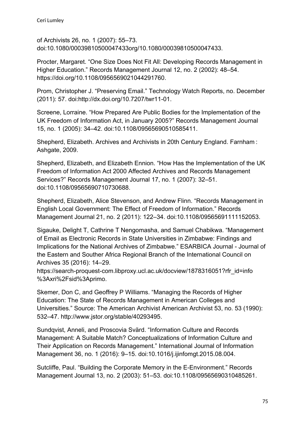of Archivists 26, no. 1 (2007): 55–73. doi:10.1080/00039810500047433org/10.1080/00039810500047433.

Procter, Margaret. "One Size Does Not Fit All: Developing Records Management in Higher Education." Records Management Journal 12, no. 2 (2002): 48–54. https://doi.org/10.1108/0956569021044291760.

Prom, Christopher J. "Preserving Email." Technology Watch Reports, no. December (2011): 57. doi:http://dx.doi.org/10.7207/twr11-01.

Screene, Lorraine. "How Prepared Are Public Bodies for the Implementation of the UK Freedom of Information Act, in January 2005?" Records Management Journal 15, no. 1 (2005): 34–42. doi:10.1108/09565690510585411.

Shepherd, Elizabeth. Archives and Archivists in 20th Century England. Farnham : Ashgate, 2009.

Shepherd, Elizabeth, and Elizabeth Ennion. "How Has the Implementation of the UK Freedom of Information Act 2000 Affected Archives and Records Management Services?" Records Management Journal 17, no. 1 (2007): 32–51. doi:10.1108/09565690710730688.

Shepherd, Elizabeth, Alice Stevenson, and Andrew Flinn. "Records Management in English Local Government: The Effect of Freedom of Information." Records Management Journal 21, no. 2 (2011): 122–34. doi:10.1108/09565691111152053.

Sigauke, Delight T, Cathrine T Nengomasha, and Samuel Chabikwa. "Management of Email as Electronic Records in State Universities in Zimbabwe: Findings and Implications for the National Archives of Zimbabwe." ESARBICA Journal - Journal of the Eastern and Souther Africa Regional Branch of the International Council on Archives 35 (2016): 14–29.

https://search-proquest-com.libproxy.ucl.ac.uk/docview/1878316051?rfr\_id=info %3Axri%2Fsid%3Aprimo.

Skemer, Don C, and Geoffrey P Williams. "Managing the Records of Higher Education: The State of Records Management in American Colleges and Universities." Source: The American Archivist American Archivist 53, no. 53 (1990): 532–47. http://www.jstor.org/stable/40293495.

Sundqvist, Anneli, and Proscovia Svärd. "Information Culture and Records Management: A Suitable Match? Conceptualizations of Information Culture and Their Application on Records Management." International Journal of Information Management 36, no. 1 (2016): 9–15. doi:10.1016/j.ijinfomgt.2015.08.004.

Sutcliffe, Paul. "Building the Corporate Memory in the E-Environment." Records Management Journal 13, no. 2 (2003): 51–53. doi:10.1108/09565690310485261.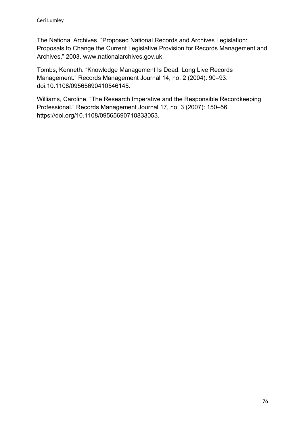The National Archives. "Proposed National Records and Archives Legislation: Proposals to Change the Current Legislative Provision for Records Management and Archives," 2003. www.nationalarchives.gov.uk.

Tombs, Kenneth. "Knowledge Management Is Dead: Long Live Records Management." Records Management Journal 14, no. 2 (2004): 90–93. doi:10.1108/09565690410546145.

Williams, Caroline. "The Research Imperative and the Responsible Recordkeeping Professional." Records Management Journal 17, no. 3 (2007): 150–56. https://doi.org/10.1108/09565690710833053.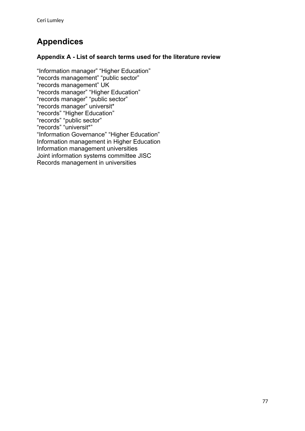# **Appendices**

### **Appendix A - List of search terms used for the literature review**

"Information manager" "Higher Education" "records management" "public sector" "records management" UK "records manager" "Higher Education" "records manager" "public sector" "records manager" universit\* "records" "Higher Education" "records" "public sector" "records" "universit\*" "Information Governance" "Higher Education" Information management in Higher Education Information management universities Joint information systems committee JISC Records management in universities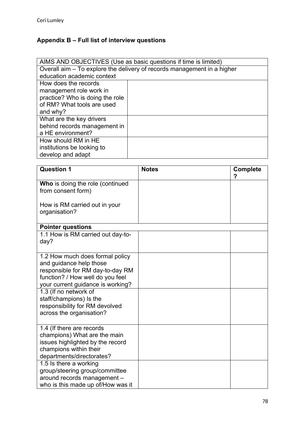## **Appendix B – Full list of interview questions**

| AIMS AND OBJECTIVES (Use as basic questions if time is limited)         |  |
|-------------------------------------------------------------------------|--|
| Overall aim - To explore the delivery of records management in a higher |  |
| education academic context                                              |  |
| How does the records                                                    |  |
| management role work in                                                 |  |
| practice? Who is doing the role                                         |  |
| of RM? What tools are used                                              |  |
| and why?                                                                |  |
| What are the key drivers                                                |  |
| behind records management in                                            |  |
| a HE environment?                                                       |  |
| How should RM in HE                                                     |  |
| institutions be looking to                                              |  |
| develop and adapt                                                       |  |

| <b>Question 1</b>                                                                                                                                                       | <b>Notes</b> | <b>Complete</b><br>? |
|-------------------------------------------------------------------------------------------------------------------------------------------------------------------------|--------------|----------------------|
| Who is doing the role (continued<br>from consent form)                                                                                                                  |              |                      |
| How is RM carried out in your<br>organisation?                                                                                                                          |              |                      |
| <b>Pointer questions</b>                                                                                                                                                |              |                      |
| 1.1 How is RM carried out day-to-<br>day?                                                                                                                               |              |                      |
| 1.2 How much does formal policy<br>and guidance help those<br>responsible for RM day-to-day RM<br>function? / How well do you feel<br>your current guidance is working? |              |                      |
| 1.3 (If no network of<br>staff/champions) Is the<br>responsibility for RM devolved<br>across the organisation?                                                          |              |                      |
| 1.4 (If there are records<br>champions) What are the main<br>issues highlighted by the record<br>champions within their<br>departments/directorates?                    |              |                      |
| 1.5 Is there a working<br>group/steering group/committee<br>around records management -<br>who is this made up of/How was it                                            |              |                      |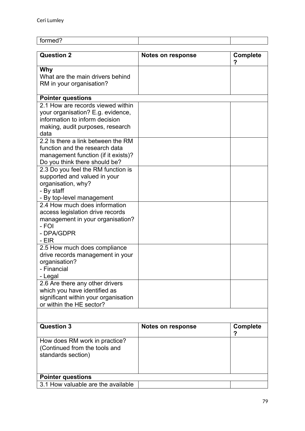| formed?                                                              |                          |                 |
|----------------------------------------------------------------------|--------------------------|-----------------|
| <b>Question 2</b>                                                    | Notes on response        | <b>Complete</b> |
|                                                                      |                          | ?               |
| Why                                                                  |                          |                 |
| What are the main drivers behind<br>RM in your organisation?         |                          |                 |
|                                                                      |                          |                 |
| <b>Pointer questions</b>                                             |                          |                 |
| 2.1 How are records viewed within                                    |                          |                 |
| your organisation? E.g. evidence,                                    |                          |                 |
| information to inform decision<br>making, audit purposes, research   |                          |                 |
| data                                                                 |                          |                 |
| 2.2 Is there a link between the RM                                   |                          |                 |
| function and the research data                                       |                          |                 |
| management function (if it exists)?                                  |                          |                 |
| Do you think there should be?<br>2.3 Do you feel the RM function is  |                          |                 |
| supported and valued in your                                         |                          |                 |
| organisation, why?                                                   |                          |                 |
| - By staff                                                           |                          |                 |
| - By top-level management                                            |                          |                 |
| 2.4 How much does information<br>access legislation drive records    |                          |                 |
| management in your organisation?                                     |                          |                 |
| - FOI                                                                |                          |                 |
| - DPA/GDPR                                                           |                          |                 |
| - EIR                                                                |                          |                 |
| 2.5 How much does compliance<br>drive records management in your     |                          |                 |
| organisation?                                                        |                          |                 |
| - Financial                                                          |                          |                 |
| - Legal                                                              |                          |                 |
| 2.6 Are there any other drivers                                      |                          |                 |
| which you have identified as<br>significant within your organisation |                          |                 |
| or within the HE sector?                                             |                          |                 |
|                                                                      |                          |                 |
| <b>Question 3</b>                                                    | <b>Notes on response</b> | <b>Complete</b> |
|                                                                      |                          | ?               |
| How does RM work in practice?                                        |                          |                 |
| (Continued from the tools and                                        |                          |                 |
| standards section)                                                   |                          |                 |
|                                                                      |                          |                 |
| <b>Pointer questions</b>                                             |                          |                 |
| 3.1 How valuable are the available                                   |                          |                 |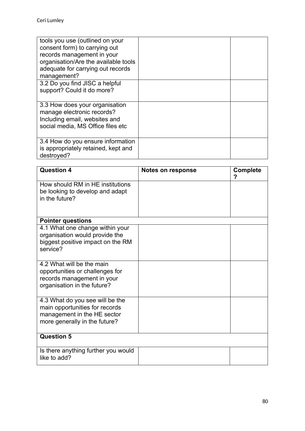| tools you use (outlined on your<br>consent form) to carrying out<br>records management in your<br>organisation/Are the available tools<br>adequate for carrying out records<br>management? |  |
|--------------------------------------------------------------------------------------------------------------------------------------------------------------------------------------------|--|
| 3.2 Do you find JISC a helpful<br>support? Could it do more?                                                                                                                               |  |
| 3.3 How does your organisation<br>manage electronic records?<br>Including email, websites and<br>social media, MS Office files etc                                                         |  |
| 3.4 How do you ensure information<br>is appropriately retained, kept and<br>destroyed?                                                                                                     |  |

| <b>Question 4</b>                                                                                                                 | Notes on response | <b>Complete</b><br>? |
|-----------------------------------------------------------------------------------------------------------------------------------|-------------------|----------------------|
| How should RM in HE institutions<br>be looking to develop and adapt<br>in the future?                                             |                   |                      |
| <b>Pointer questions</b>                                                                                                          |                   |                      |
| 4.1 What one change within your<br>organisation would provide the<br>biggest positive impact on the RM<br>service?                |                   |                      |
| 4.2 What will be the main<br>opportunities or challenges for<br>records management in your<br>organisation in the future?         |                   |                      |
| 4.3 What do you see will be the<br>main opportunities for records<br>management in the HE sector<br>more generally in the future? |                   |                      |
| <b>Question 5</b>                                                                                                                 |                   |                      |
| Is there anything further you would<br>like to add?                                                                               |                   |                      |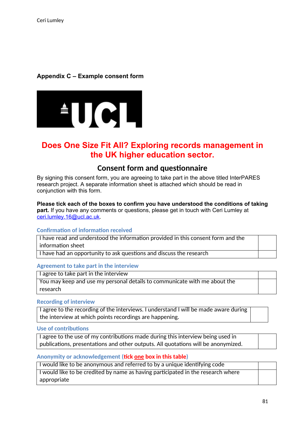### **Appendix C – Example consent form**



## **Does One Size Fit All? Exploring records management in the UK higher education sector.**

## **Consent form and questionnaire**

By signing this consent form, you are agreeing to take part in the above titled InterPARES research project. A separate information sheet is attached which should be read in conjunction with this form.

**Please tick each of the boxes to confirm you have understood the conditions of taking part.** If you have any comments or questions, please get in touch with Ceri Lumley at [ceri.lumley.16@ucl.ac.uk.](mailto:ceri.lumley.16@ucl.ac.uk)

#### **Confirmation of information received**

I have read and understood the information provided in this consent form and the information sheet

I have had an opportunity to ask questions and discuss the research

#### **Agreement to take part in the interview**

I agree to take part in the interview

You may keep and use my personal details to communicate with me about the research

#### **Recording of interview**

I agree to the recording of the interviews. I understand I will be made aware during the interview at which points recordings are happening.

**Use of contributions** 

I agree to the use of my contributions made during this interview being used in publications, presentations and other outputs. All quotations will be anonymized.

#### **Anonymity or acknowledgement (tick one box in this table)**

I would like to be anonymous and referred to by a unique identifying code I would like to be credited by name as having participated in the research where appropriate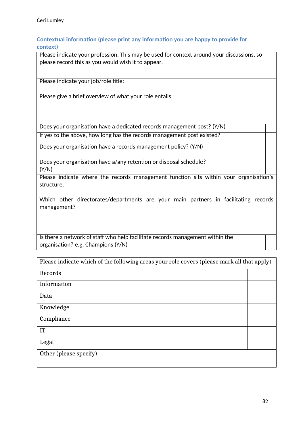### **Contextual information (please print any information you are happy to provide for context)**

Please indicate your profession. This may be used for context around your discussions, so please record this as you would wish it to appear.

Please indicate your job/role title:

Please give a brief overview of what your role entails:

Does your organisation have a dedicated records management post? (Y/N)

If yes to the above, how long has the records management post existed?

Does your organisation have a records management policy? (Y/N)

Does your organisation have a/any retention or disposal schedule? (Y/N)

Please indicate where the records management function sits within your organisation's structure.

Which other directorates/departments are your main partners in facilitating records management?

Is there a network of staff who help facilitate records management within the organisation? e.g. Champions (Y/N)

| Please indicate which of the following areas your role covers (please mark all that apply) |  |
|--------------------------------------------------------------------------------------------|--|
| Records                                                                                    |  |
| Information                                                                                |  |
| Data                                                                                       |  |
| Knowledge                                                                                  |  |
| Compliance                                                                                 |  |
| IT                                                                                         |  |
| Legal                                                                                      |  |
| Other (please specify):                                                                    |  |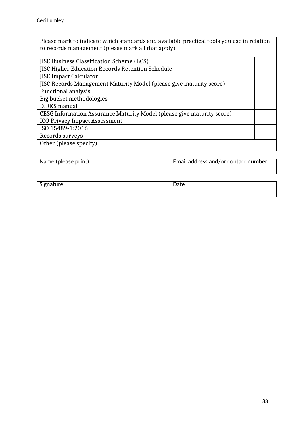Please mark to indicate which standards and available practical tools you use in relation to records management (please mark all that apply)

JISC Business Classification Scheme (BCS)

JISC Higher Education Records Retention Schedule

JISC Impact Calculator

JISC Records Management Maturity Model (please give maturity score)

Functional analysis

Big bucket methodologies

DIRKS manual

CESG Information Assurance Maturity Model (please give maturity score)

ICO Privacy Impact Assessment

ISO 15489-1:2016

Records surveys

Other (please specify):

| Name (please print) | <b>Email address and/or contact number</b> |
|---------------------|--------------------------------------------|
|                     |                                            |
|                     |                                            |
|                     |                                            |
|                     |                                            |

| Signature<br>$-0.0000000$ | $. \n\lambda$<br>Jale |
|---------------------------|-----------------------|
|                           |                       |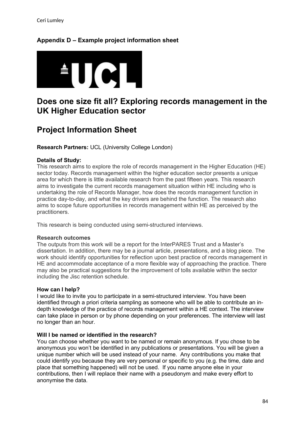### **Appendix D – Example project information sheet**



## **Does one size fit all? Exploring records management in the UK Higher Education sector**

## **Project Information Sheet**

**Research Partners:** UCL (University College London)

#### **Details of Study:**

This research aims to explore the role of records management in the Higher Education (HE) sector today. Records management within the higher education sector presents a unique area for which there is little available research from the past fifteen years. This research aims to investigate the current records management situation within HE including who is undertaking the role of Records Manager, how does the records management function in practice day-to-day, and what the key drivers are behind the function. The research also aims to scope future opportunities in records management within HE as perceived by the practitioners.

This research is being conducted using semi-structured interviews.

#### **Research outcomes**

The outputs from this work will be a report for the InterPARES Trust and a Master's dissertation. In addition, there may be a journal article, presentations, and a blog piece. The work should identify opportunities for reflection upon best practice of records management in HE and accommodate acceptance of a more flexible way of approaching the practice. There may also be practical suggestions for the improvement of tolls available within the sector including the Jisc retention schedule.

#### **How can I help?**

I would like to invite you to participate in a semi-structured interview. You have been identified through a priori criteria sampling as someone who will be able to contribute an indepth knowledge of the practice of records management within a HE context. The interview can take place in person or by phone depending on your preferences. The interview will last no longer than an hour.

#### **Will I be named or identified in the research?**

You can choose whether you want to be named or remain anonymous. If you chose to be anonymous you won't be identified in any publications or presentations. You will be given a unique number which will be used instead of your name. Any contributions you make that could identify you because they are very personal or specific to you (e.g. the time, date and place that something happened) will not be used. If you name anyone else in your contributions, then I will replace their name with a pseudonym and make every effort to anonymise the data.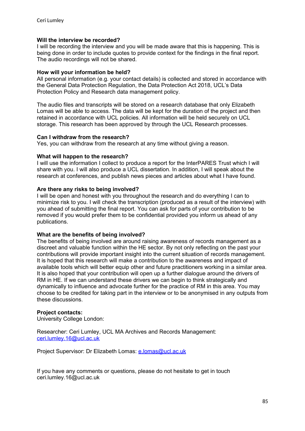#### **Will the interview be recorded?**

I will be recording the interview and you will be made aware that this is happening. This is being done in order to include quotes to provide context for the findings in the final report. The audio recordings will not be shared.

#### **How will your information be held?**

All personal information (e.g. your contact details) is collected and stored in accordance with the General Data Protection Regulation, the Data Protection Act 2018, UCL's Data Protection Policy and Research data management policy.

The audio files and transcripts will be stored on a research database that only Elizabeth Lomas will be able to access. The data will be kept for the duration of the project and then retained in accordance with UCL policies. All information will be held securely on UCL storage. This research has been approved by through the UCL Research processes.

#### **Can I withdraw from the research?**

Yes, you can withdraw from the research at any time without giving a reason.

#### **What will happen to the research?**

I will use the information I collect to produce a report for the InterPARES Trust which I will share with you. I will also produce a UCL dissertation. In addition, I will speak about the research at conferences, and publish news pieces and articles about what I have found.

#### **Are there any risks to being involved?**

I will be open and honest with you throughout the research and do everything I can to minimize risk to you. I will check the transcription (produced as a result of the interview) with you ahead of submitting the final report. You can ask for parts of your contribution to be removed if you would prefer them to be confidential provided you inform us ahead of any publications.

#### **What are the benefits of being involved?**

The benefits of being involved are around raising awareness of records management as a discreet and valuable function within the HE sector. By not only reflecting on the past your contributions will provide important insight into the current situation of records management. It is hoped that this research will make a contribution to the awareness and impact of available tools which will better equip other and future practitioners working in a similar area. It is also hoped that your contribution will open up a further dialogue around the drivers of RM in HE. If we can understand these drivers we can begin to think strategically and dynamically to influence and advocate further for the practice of RM in this area. You may choose to be credited for taking part in the interview or to be anonymised in any outputs from these discussions.

#### **Project contacts:**

University College London:

Researcher: Ceri Lumley, UCL MA Archives and Records Management: [ceri.lumley.16@ucl.ac.uk](mailto:ceri.lumley.16@ucl.ac.uk)

Project Supervisor: Dr Elizabeth Lomas: [e.lomas@ucl.ac.uk](mailto:e.lomas@ucl.ac.uk)

If you have any comments or questions, please do not hesitate to get in touch ceri.lumley.16@ucl.ac.uk